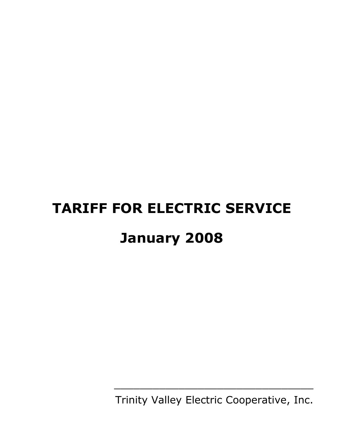# **TARIFF FOR ELECTRIC SERVICE January 2008**

Trinity Valley Electric Cooperative, Inc.

\_\_\_\_\_\_\_\_\_\_\_\_\_\_\_\_\_\_\_\_\_\_\_\_\_\_\_\_\_\_\_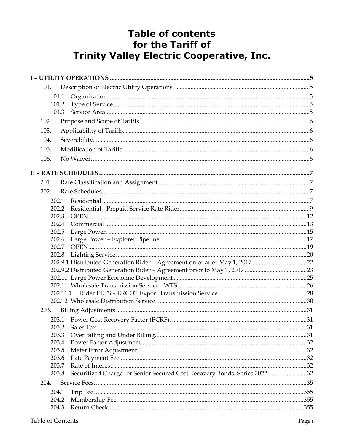# **Table of contents** for the Tariff of **Trinity Valley Electric Cooperative, Inc.**

| 101.           |                                                                             |  |
|----------------|-----------------------------------------------------------------------------|--|
| 101.1          |                                                                             |  |
| 101.2          |                                                                             |  |
|                |                                                                             |  |
| 102.           |                                                                             |  |
| 103.           |                                                                             |  |
| 104.           |                                                                             |  |
| 105.           |                                                                             |  |
| 106.           |                                                                             |  |
|                |                                                                             |  |
| 201.           |                                                                             |  |
| 202.           |                                                                             |  |
| 202.1          |                                                                             |  |
| 202.2          |                                                                             |  |
| 202.3          |                                                                             |  |
| 202.4          |                                                                             |  |
| 202.5<br>202.6 |                                                                             |  |
| 202.7          |                                                                             |  |
| 202.8          |                                                                             |  |
|                | 202.9.1 Distributed Generation Rider - Agreement on or after May 1, 2017 22 |  |
|                |                                                                             |  |
|                |                                                                             |  |
|                |                                                                             |  |
|                | 202.11.1                                                                    |  |
|                |                                                                             |  |
| 203.           |                                                                             |  |
|                |                                                                             |  |
| 203.2          |                                                                             |  |
| 203.3          |                                                                             |  |
| 203.4          |                                                                             |  |
| 203.5<br>203.6 |                                                                             |  |
| 203.7          |                                                                             |  |
| 203.8          | Securitized Charge for Senior Secured Cost Recovery Bonds, Series 2022. 32  |  |
| 204.           |                                                                             |  |
| 204.1          |                                                                             |  |
| 204.2          |                                                                             |  |
| 204.3          |                                                                             |  |
|                |                                                                             |  |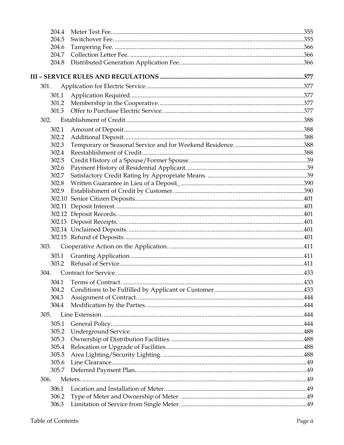| 204.4 |  |
|-------|--|
| 204.5 |  |
| 204.6 |  |
| 204.7 |  |
| 204.8 |  |
|       |  |
|       |  |
| 301.  |  |
| 301.1 |  |
| 301.2 |  |
| 301.3 |  |
| 302.  |  |
| 302.1 |  |
| 302.2 |  |
| 302.3 |  |
| 302.4 |  |
| 302.5 |  |
| 302.6 |  |
| 302.7 |  |
| 302.8 |  |
| 302.9 |  |
|       |  |
|       |  |
|       |  |
|       |  |
|       |  |
|       |  |
| 303.  |  |
| 303.1 |  |
| 303.2 |  |
| 304.  |  |
|       |  |
| 304.1 |  |
| 304.2 |  |
| 304.3 |  |
| 304.4 |  |
| 305.  |  |
| 305.1 |  |
| 305.2 |  |
| 305.3 |  |
| 305.4 |  |
| 305.5 |  |
| 305.6 |  |
| 305.7 |  |
| 306.  |  |
| 306.1 |  |
| 306.2 |  |
| 306.3 |  |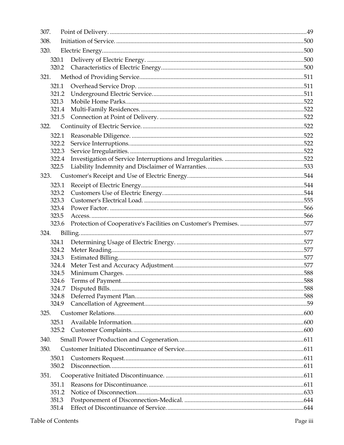| 307.  |       |  |
|-------|-------|--|
| 308.  |       |  |
| 320.  |       |  |
| 320.1 |       |  |
|       | 320.2 |  |
| 321.  |       |  |
|       | 321.1 |  |
|       | 321.2 |  |
|       | 321.3 |  |
|       | 321.4 |  |
|       | 321.5 |  |
| 322.  |       |  |
|       | 322.1 |  |
|       | 322.2 |  |
|       | 322.3 |  |
|       | 322.4 |  |
|       | 322.5 |  |
| 323.  |       |  |
|       | 323.1 |  |
|       | 323.2 |  |
|       | 323.3 |  |
|       | 323.4 |  |
|       | 323.5 |  |
|       | 323.6 |  |
| 324.  |       |  |
|       | 324.1 |  |
|       | 324.2 |  |
|       | 324.3 |  |
|       | 324.4 |  |
|       | 324.5 |  |
|       | 324.6 |  |
|       | 324.7 |  |
|       | 324.8 |  |
|       | 324.9 |  |
| 325.  |       |  |
| 325.1 |       |  |
|       | 325.2 |  |
| 340.  |       |  |
| 350.  |       |  |
|       | 350.1 |  |
|       | 350.2 |  |
| 351.  |       |  |
|       | 351.1 |  |
|       | 351.2 |  |
| 351.3 |       |  |
|       | 351.4 |  |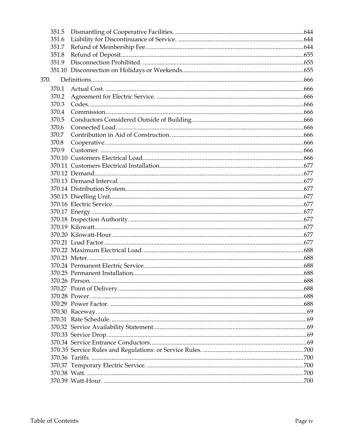| 351.5 |  |
|-------|--|
| 351.6 |  |
| 351.7 |  |
| 351.8 |  |
| 351.9 |  |
|       |  |
| 370.  |  |
| 370.1 |  |
| 370.2 |  |
| 370.3 |  |
| 370.4 |  |
| 370.5 |  |
| 370.6 |  |
| 370.7 |  |
| 370.8 |  |
| 370.9 |  |
|       |  |
|       |  |
|       |  |
|       |  |
|       |  |
|       |  |
|       |  |
|       |  |
|       |  |
|       |  |
|       |  |
|       |  |
|       |  |
|       |  |
|       |  |
|       |  |
|       |  |
|       |  |
|       |  |
|       |  |
|       |  |
|       |  |
|       |  |
|       |  |
|       |  |
|       |  |
|       |  |
|       |  |
|       |  |
|       |  |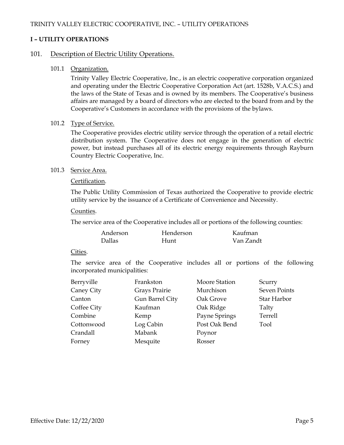# **I – UTILITY OPERATIONS**

# 101. Description of Electric Utility Operations.

101.1 Organization.

Trinity Valley Electric Cooperative, Inc., is an electric cooperative corporation organized and operating under the Electric Cooperative Corporation Act (art. 1528b, V.A.C.S.) and the laws of the State of Texas and is owned by its members. The Cooperative's business affairs are managed by a board of directors who are elected to the board from and by the Cooperative's Customers in accordance with the provisions of the bylaws.

#### 101.2 Type of Service.

The Cooperative provides electric utility service through the operation of a retail electric distribution system. The Cooperative does not engage in the generation of electric power, but instead purchases all of its electric energy requirements through Rayburn Country Electric Cooperative, Inc.

#### 101.3 Service Area.

#### Certification.

The Public Utility Commission of Texas authorized the Cooperative to provide electric utility service by the issuance of a Certificate of Convenience and Necessity.

Counties.

The service area of the Cooperative includes all or portions of the following counties:

| Anderson      | Henderson | Kaufman   |
|---------------|-----------|-----------|
| <b>Dallas</b> | Hunt      | Van Zandt |

#### Cities.

The service area of the Cooperative includes all or portions of the following incorporated municipalities:

| Berryville  | Frankston       | Moore Station | Scurry       |
|-------------|-----------------|---------------|--------------|
| Caney City  | Grays Prairie   | Murchison     | Seven Points |
| Canton      | Gun Barrel City | Oak Grove     | Star Harbor  |
| Coffee City | Kaufman         | Oak Ridge     | Talty        |
| Combine     | Kemp            | Payne Springs | Terrell      |
| Cottonwood  | Log Cabin       | Post Oak Bend | Tool         |
| Crandall    | Mabank          | Poynor        |              |
| Forney      | Mesquite        | Rosser        |              |
|             |                 |               |              |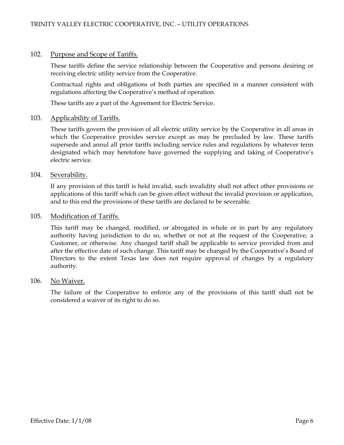## 102. Purpose and Scope of Tariffs.

These tariffs define the service relationship between the Cooperative and persons desiring or receiving electric utility service from the Cooperative.

Contractual rights and obligations of both parties are specified in a manner consistent with regulations affecting the Cooperative's method of operation.

These tariffs are a part of the Agreement for Electric Service.

#### 103. Applicability of Tariffs.

These tariffs govern the provision of all electric utility service by the Cooperative in all areas in which the Cooperative provides service except as may be precluded by law. These tariffs supersede and annul all prior tariffs including service rules and regulations by whatever term designated which may heretofore have governed the supplying and taking of Cooperative's electric service.

#### 104. Severability.

If any provision of this tariff is held invalid, such invalidity shall not affect other provisions or applications of this tariff which can be given effect without the invalid provision or application, and to this end the provisions of these tariffs are declared to be severable.

#### 105. Modification of Tariffs.

This tariff may be changed, modified, or abrogated in whole or in part by any regulatory authority having jurisdiction to do so, whether or not at the request of the Cooperative, a Customer, or otherwise. Any changed tariff shall be applicable to service provided from and after the effective date of such change. This tariff may be changed by the Cooperative's Board of Directors to the extent Texas law does not require approval of changes by a regulatory authority.

#### 106. No Waiver.

The failure of the Cooperative to enforce any of the provisions of this tariff shall not be considered a waiver of its right to do so.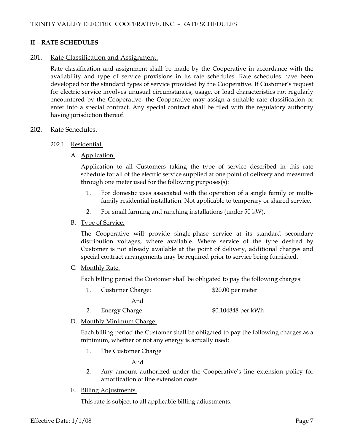#### **II – RATE SCHEDULES**

#### 201. Rate Classification and Assignment.

Rate classification and assignment shall be made by the Cooperative in accordance with the availability and type of service provisions in its rate schedules. Rate schedules have been developed for the standard types of service provided by the Cooperative. If Customer's request for electric service involves unusual circumstances, usage, or load characteristics not regularly encountered by the Cooperative, the Cooperative may assign a suitable rate classification or enter into a special contract. Any special contract shall be filed with the regulatory authority having jurisdiction thereof.

#### 202. Rate Schedules.

#### 202.1 Residential.

A. Application.

Application to all Customers taking the type of service described in this rate schedule for all of the electric service supplied at one point of delivery and measured through one meter used for the following purposes(s):

- 1. For domestic uses associated with the operation of a single family or multifamily residential installation. Not applicable to temporary or shared service.
- 2. For small farming and ranching installations (under 50 kW).

#### B. Type of Service.

The Cooperative will provide single-phase service at its standard secondary distribution voltages, where available. Where service of the type desired by Customer is not already available at the point of delivery, additional charges and special contract arrangements may be required prior to service being furnished.

C. Monthly Rate.

Each billing period the Customer shall be obligated to pay the following charges:

1. Customer Charge: \$20.00 per meter

And

- 2. Energy Charge:  $$0.104848$  per kWh
- D. Monthly Minimum Charge.

Each billing period the Customer shall be obligated to pay the following charges as a minimum, whether or not any energy is actually used:

1. The Customer Charge

And

- 2. Any amount authorized under the Cooperative's line extension policy for amortization of line extension costs.
- E. Billing Adjustments.

This rate is subject to all applicable billing adjustments.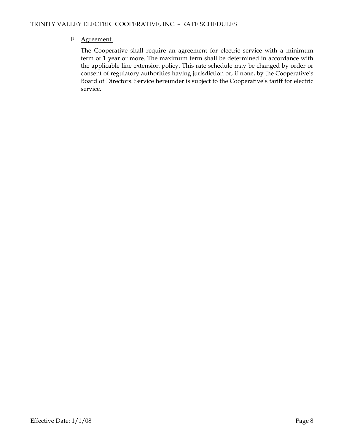# F. Agreement.

The Cooperative shall require an agreement for electric service with a minimum term of 1 year or more. The maximum term shall be determined in accordance with the applicable line extension policy. This rate schedule may be changed by order or consent of regulatory authorities having jurisdiction or, if none, by the Cooperative's Board of Directors. Service hereunder is subject to the Cooperative's tariff for electric service.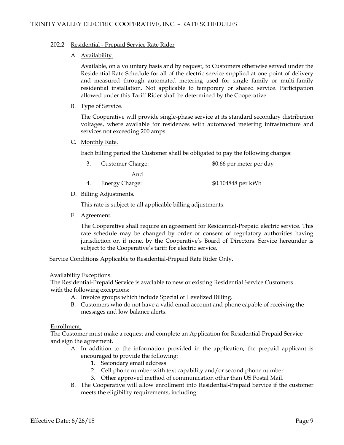#### 202.2 Residential - Prepaid Service Rate Rider

#### A. Availability.

Available, on a voluntary basis and by request, to Customers otherwise served under the Residential Rate Schedule for all of the electric service supplied at one point of delivery and measured through automated metering used for single family or multi-family residential installation. Not applicable to temporary or shared service. Participation allowed under this Tariff Rider shall be determined by the Cooperative.

#### B. Type of Service.

The Cooperative will provide single-phase service at its standard secondary distribution voltages, where available for residences with automated metering infrastructure and services not exceeding 200 amps.

#### C. Monthly Rate.

Each billing period the Customer shall be obligated to pay the following charges:

- 3. Customer Charge: \$0.66 per meter per day And
- 4. Energy Charge:  $$0.104848$  per kWh
- D. Billing Adjustments.

This rate is subject to all applicable billing adjustments.

E. Agreement.

The Cooperative shall require an agreement for Residential-Prepaid electric service. This rate schedule may be changed by order or consent of regulatory authorities having jurisdiction or, if none, by the Cooperative's Board of Directors. Service hereunder is subject to the Cooperative's tariff for electric service.

Service Conditions Applicable to Residential-Prepaid Rate Rider Only.

#### Availability Exceptions.

The Residential-Prepaid Service is available to new or existing Residential Service Customers with the following exceptions:

- A. Invoice groups which include Special or Levelized Billing.
- B. Customers who do not have a valid email account and phone capable of receiving the messages and low balance alerts.

#### Enrollment.

The Customer must make a request and complete an Application for Residential-Prepaid Service and sign the agreement.

- A. In addition to the information provided in the application, the prepaid applicant is encouraged to provide the following:
	- 1. Secondary email address
	- 2. Cell phone number with text capability and/or second phone number
	- 3. Other approved method of communication other than US Postal Mail.
- B. The Cooperative will allow enrollment into Residential-Prepaid Service if the customer meets the eligibility requirements, including: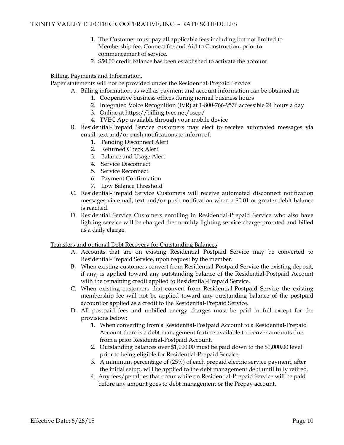- 1. The Customer must pay all applicable fees including but not limited to Membership fee, Connect fee and Aid to Construction, prior to commencement of service.
- 2. \$50.00 credit balance has been established to activate the account

#### Billing, Payments and Information.

Paper statements will not be provided under the Residential-Prepaid Service.

- A. Billing information, as well as payment and account information can be obtained at:
	- 1. Cooperative business offices during normal business hours
	- 2. Integrated Voice Recognition (IVR) at 1-800-766-9576 accessible 24 hours a day
	- 3. Online at https://billing.tvec.net/oscp/
	- 4. TVEC App available through your mobile device
- B. Residential-Prepaid Service customers may elect to receive automated messages via email, text and/or push notifications to inform of:
	- 1. Pending Disconnect Alert
	- 2. Returned Check Alert
	- 3. Balance and Usage Alert
	- 4. Service Disconnect
	- 5. Service Reconnect
	- 6. Payment Confirmation
	- 7. Low Balance Threshold
- C. Residential-Prepaid Service Customers will receive automated disconnect notification messages via email, text and/or push notification when a \$0.01 or greater debit balance is reached.
- D. Residential Service Customers enrolling in Residential-Prepaid Service who also have lighting service will be charged the monthly lighting service charge prorated and billed as a daily charge.

#### Transfers and optional Debt Recovery for Outstanding Balances

- A. Accounts that are on existing Residential Postpaid Service may be converted to Residential-Prepaid Service, upon request by the member.
- B. When existing customers convert from Residential-Postpaid Service the existing deposit, if any, is applied toward any outstanding balance of the Residential-Postpaid Account with the remaining credit applied to Residential-Prepaid Service.
- C. When existing customers that convert from Residential-Postpaid Service the existing membership fee will not be applied toward any outstanding balance of the postpaid account or applied as a credit to the Residential-Prepaid Service.
- D. All postpaid fees and unbilled energy charges must be paid in full except for the provisions below:
	- 1. When converting from a Residential-Postpaid Account to a Residential-Prepaid Account there is a debt management feature available to recover amounts due from a prior Residential-Postpaid Account.
	- 2. Outstanding balances over \$1,000.00 must be paid down to the \$1,000.00 level prior to being eligible for Residential-Prepaid Service.
	- 3. A minimum percentage of (25%) of each prepaid electric service payment, after the initial setup, will be applied to the debt management debt until fully retired.
	- 4. Any fees/penalties that occur while on Residential-Prepaid Service will be paid before any amount goes to debt management or the Prepay account.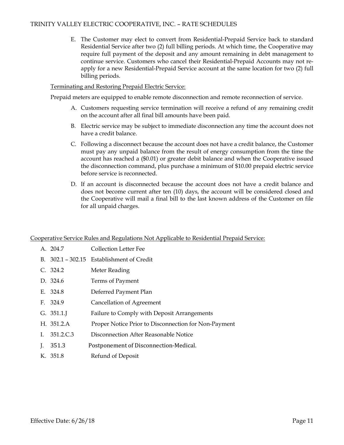E. The Customer may elect to convert from Residential-Prepaid Service back to standard Residential Service after two (2) full billing periods. At which time, the Cooperative may require full payment of the deposit and any amount remaining in debt management to continue service. Customers who cancel their Residential-Prepaid Accounts may not reapply for a new Residential-Prepaid Service account at the same location for two (2) full billing periods.

#### Terminating and Restoring Prepaid Electric Service:

Prepaid meters are equipped to enable remote disconnection and remote reconnection of service.

- A. Customers requesting service termination will receive a refund of any remaining credit on the account after all final bill amounts have been paid.
- B. Electric service may be subject to immediate disconnection any time the account does not have a credit balance.
- C. Following a disconnect because the account does not have a credit balance, the Customer must pay any unpaid balance from the result of energy consumption from the time the account has reached a (\$0.01) or greater debit balance and when the Cooperative issued the disconnection command, plus purchase a minimum of \$10.00 prepaid electric service before service is reconnected.
- D. If an account is disconnected because the account does not have a credit balance and does not become current after ten (10) days, the account will be considered closed and the Cooperative will mail a final bill to the last known address of the Customer on file for all unpaid charges.

#### Cooperative Service Rules and Regulations Not Applicable to Residential Prepaid Service:

|    | A. 204.7   | Collection Letter Fee                                |
|----|------------|------------------------------------------------------|
|    |            | B. 302.1 - 302.15 Establishment of Credit            |
|    | C. 324.2   | Meter Reading                                        |
|    | D. 324.6   | Terms of Payment                                     |
|    | E. 324.8   | Deferred Payment Plan                                |
|    | F. 324.9   | Cancellation of Agreement                            |
|    | G. 351.1   | Failure to Comply with Deposit Arrangements          |
|    | H. 351.2.A | Proper Notice Prior to Disconnection for Non-Payment |
| Ι. | 351.2.C.3  | Disconnection After Reasonable Notice                |
| J. | 351.3      | Postponement of Disconnection-Medical.               |
|    | K. 351.8   | Refund of Deposit                                    |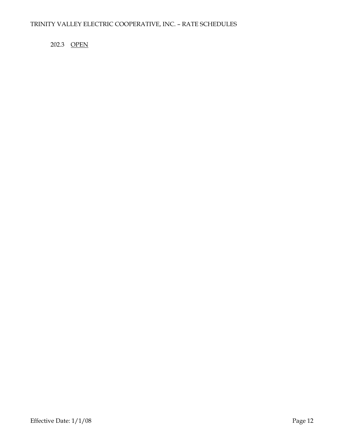# 202.3 OPEN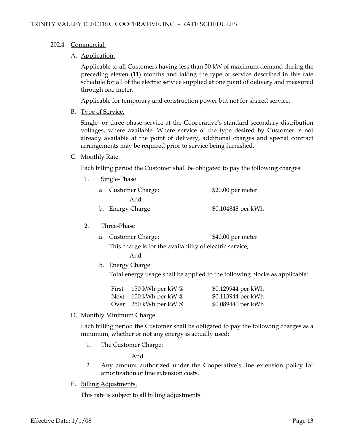#### 202.4 Commercial.

#### A. Application.

Applicable to all Customers having less than 50 kW of maximum demand during the preceding eleven (11) months and taking the type of service described in this rate schedule for all of the electric service supplied at one point of delivery and measured through one meter.

Applicable for temporary and construction power but not for shared service.

B. Type of Service.

Single- or three-phase service at the Cooperative's standard secondary distribution voltages, where available. Where service of the type desired by Customer is not already available at the point of delivery, additional charges and special contract arrangements may be required prior to service being furnished.

#### C. Monthly Rate.

Each billing period the Customer shall be obligated to pay the following charges:

1. Single-Phase

| a. Customer Charge: | $$20.00$ per meter |
|---------------------|--------------------|
| And                 |                    |
| b. Energy Charge:   | \$0.104848 per kWh |

- 2. Three-Phase
	- a. Customer Charge: \$40.00 per meter

This charge is for the availability of electric service;

And

b. Energy Charge:

Total energy usage shall be applied to the following blocks as applicable:

| First | 150 kWh per kW $@$                     | \$0.129944 per kWh |
|-------|----------------------------------------|--------------------|
|       | Next 100 kWh per kW @                  | \$0.113944 per kWh |
|       | Over $250 \text{ kWh}$ per kW $\omega$ | \$0.089440 per kWh |

D. Monthly Minimum Charge.

Each billing period the Customer shall be obligated to pay the following charges as a minimum, whether or not any energy is actually used:

1. The Customer Charge:

And

- 2. Any amount authorized under the Cooperative's line extension policy for amortization of line extension costs.
- E. Billing Adjustments.

This rate is subject to all billing adjustments.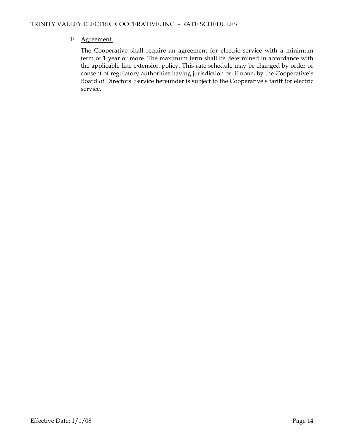# F. Agreement.

The Cooperative shall require an agreement for electric service with a minimum term of 1 year or more. The maximum term shall be determined in accordance with the applicable line extension policy. This rate schedule may be changed by order or consent of regulatory authorities having jurisdiction or, if none, by the Cooperative's Board of Directors. Service hereunder is subject to the Cooperative's tariff for electric service.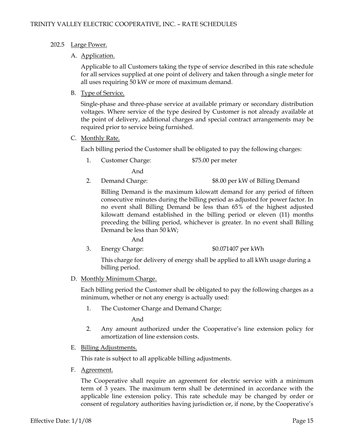#### 202.5 Large Power.

#### A. Application.

Applicable to all Customers taking the type of service described in this rate schedule for all services supplied at one point of delivery and taken through a single meter for all uses requiring 50 kW or more of maximum demand.

#### B. Type of Service.

Single-phase and three-phase service at available primary or secondary distribution voltages. Where service of the type desired by Customer is not already available at the point of delivery, additional charges and special contract arrangements may be required prior to service being furnished.

C. Monthly Rate.

Each billing period the Customer shall be obligated to pay the following charges:

1. Customer Charge: \$75.00 per meter

And

2. Demand Charge: \$8.00 per kW of Billing Demand

Billing Demand is the maximum kilowatt demand for any period of fifteen consecutive minutes during the billing period as adjusted for power factor. In no event shall Billing Demand be less than 65% of the highest adjusted kilowatt demand established in the billing period or eleven (11) months preceding the billing period, whichever is greater. In no event shall Billing Demand be less than 50 kW;

- And
- 3. Energy Charge: \$0.071407 per kWh

This charge for delivery of energy shall be applied to all kWh usage during a billing period.

D. Monthly Minimum Charge.

Each billing period the Customer shall be obligated to pay the following charges as a minimum, whether or not any energy is actually used:

1. The Customer Charge and Demand Charge;

And

- 2. Any amount authorized under the Cooperative's line extension policy for amortization of line extension costs.
- E. Billing Adjustments.

This rate is subject to all applicable billing adjustments.

F. Agreement.

The Cooperative shall require an agreement for electric service with a minimum term of 3 years. The maximum term shall be determined in accordance with the applicable line extension policy. This rate schedule may be changed by order or consent of regulatory authorities having jurisdiction or, if none, by the Cooperative's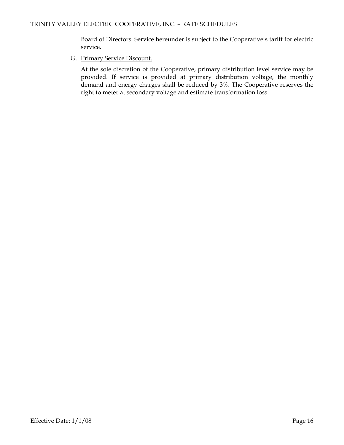Board of Directors. Service hereunder is subject to the Cooperative's tariff for electric service.

#### G. Primary Service Discount.

At the sole discretion of the Cooperative, primary distribution level service may be provided. If service is provided at primary distribution voltage, the monthly demand and energy charges shall be reduced by 3%. The Cooperative reserves the right to meter at secondary voltage and estimate transformation loss.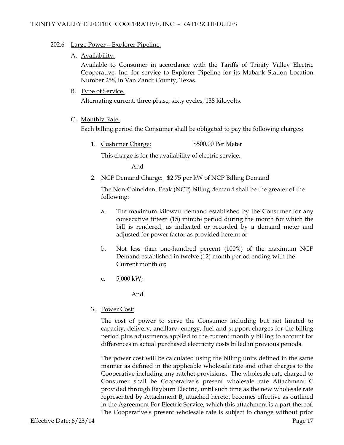#### 202.6 Large Power – Explorer Pipeline.

#### A. Availability.

Available to Consumer in accordance with the Tariffs of Trinity Valley Electric Cooperative, Inc. for service to Explorer Pipeline for its Mabank Station Location Number 258, in Van Zandt County, Texas.

#### B. Type of Service.

Alternating current, three phase, sixty cycles, 138 kilovolts.

#### C. Monthly Rate.

Each billing period the Consumer shall be obligated to pay the following charges:

1. Customer Charge: \$500.00 Per Meter

This charge is for the availability of electric service.

And

2. NCP Demand Charge: \$2.75 per kW of NCP Billing Demand

The Non-Coincident Peak (NCP) billing demand shall be the greater of the following:

- a. The maximum kilowatt demand established by the Consumer for any consecutive fifteen (15) minute period during the month for which the bill is rendered, as indicated or recorded by a demand meter and adjusted for power factor as provided herein; or
- b. Not less than one-hundred percent (100%) of the maximum NCP Demand established in twelve (12) month period ending with the Current month or;
- c. 5,000 kW;

And

3. Power Cost:

The cost of power to serve the Consumer including but not limited to capacity, delivery, ancillary, energy, fuel and support charges for the billing period plus adjustments applied to the current monthly billing to account for differences in actual purchased electricity costs billed in previous periods.

The power cost will be calculated using the billing units defined in the same manner as defined in the applicable wholesale rate and other charges to the Cooperative including any ratchet provisions. The wholesale rate charged to Consumer shall be Cooperative's present wholesale rate Attachment C provided through Rayburn Electric, until such time as the new wholesale rate represented by Attachment B, attached hereto, becomes effective as outlined in the Agreement For Electric Service, which this attachment is a part thereof. The Cooperative's present wholesale rate is subject to change without prior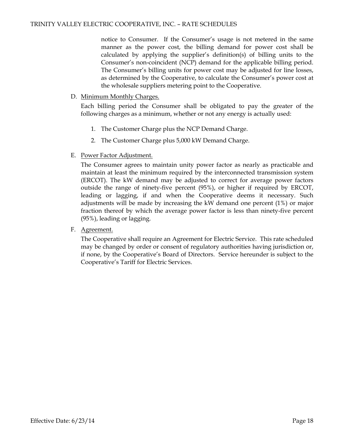notice to Consumer. If the Consumer's usage is not metered in the same manner as the power cost, the billing demand for power cost shall be calculated by applying the supplier's definition(s) of billing units to the Consumer's non-coincident (NCP) demand for the applicable billing period. The Consumer's billing units for power cost may be adjusted for line losses, as determined by the Cooperative, to calculate the Consumer's power cost at the wholesale suppliers metering point to the Cooperative.

#### D. Minimum Monthly Charges.

Each billing period the Consumer shall be obligated to pay the greater of the following charges as a minimum, whether or not any energy is actually used:

- 1. The Customer Charge plus the NCP Demand Charge.
- 2. The Customer Charge plus 5,000 kW Demand Charge.
- E. Power Factor Adjustment.

The Consumer agrees to maintain unity power factor as nearly as practicable and maintain at least the minimum required by the interconnected transmission system (ERCOT). The kW demand may be adjusted to correct for average power factors outside the range of ninety-five percent (95%), or higher if required by ERCOT, leading or lagging, if and when the Cooperative deems it necessary. Such adjustments will be made by increasing the kW demand one percent (1%) or major fraction thereof by which the average power factor is less than ninety-five percent (95%), leading or lagging.

F. Agreement.

The Cooperative shall require an Agreement for Electric Service. This rate scheduled may be changed by order or consent of regulatory authorities having jurisdiction or, if none, by the Cooperative's Board of Directors. Service hereunder is subject to the Cooperative's Tariff for Electric Services.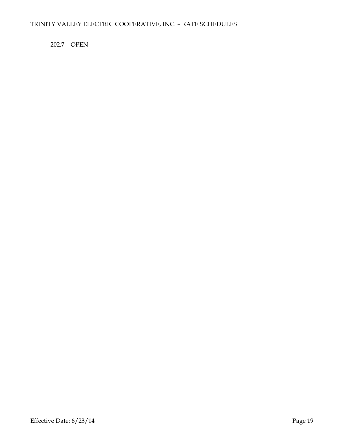202.7 OPEN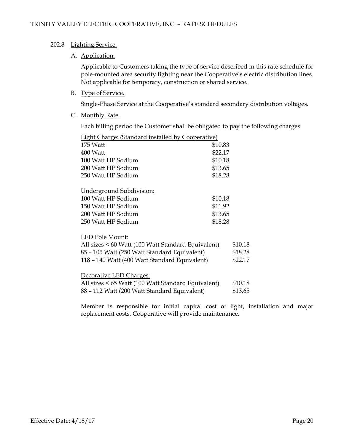#### 202.8 Lighting Service.

#### A. Application.

Applicable to Customers taking the type of service described in this rate schedule for pole-mounted area security lighting near the Cooperative's electric distribution lines. Not applicable for temporary, construction or shared service.

B. Type of Service.

Single-Phase Service at the Cooperative's standard secondary distribution voltages.

C. Monthly Rate.

Each billing period the Customer shall be obligated to pay the following charges:

| <b>Light Charge: (Standard installed by Cooperative)</b> |                                                                                                                                                          |
|----------------------------------------------------------|----------------------------------------------------------------------------------------------------------------------------------------------------------|
| \$10.83                                                  |                                                                                                                                                          |
| \$22.17                                                  |                                                                                                                                                          |
| \$10.18                                                  |                                                                                                                                                          |
| \$13.65                                                  |                                                                                                                                                          |
| \$18.28                                                  |                                                                                                                                                          |
|                                                          |                                                                                                                                                          |
| \$10.18                                                  |                                                                                                                                                          |
| \$11.92                                                  |                                                                                                                                                          |
| \$13.65                                                  |                                                                                                                                                          |
| \$18.28                                                  |                                                                                                                                                          |
|                                                          |                                                                                                                                                          |
|                                                          | \$10.18                                                                                                                                                  |
|                                                          | \$18.28                                                                                                                                                  |
| 118 - 140 Watt (400 Watt Standard Equivalent)            | \$22.17                                                                                                                                                  |
|                                                          |                                                                                                                                                          |
|                                                          | \$10.18                                                                                                                                                  |
| 88 - 112 Watt (200 Watt Standard Equivalent)             | \$13.65                                                                                                                                                  |
|                                                          | All sizes < 60 Watt (100 Watt Standard Equivalent)<br>85 - 105 Watt (250 Watt Standard Equivalent)<br>All sizes < 65 Watt (100 Watt Standard Equivalent) |

Member is responsible for initial capital cost of light, installation and major replacement costs. Cooperative will provide maintenance.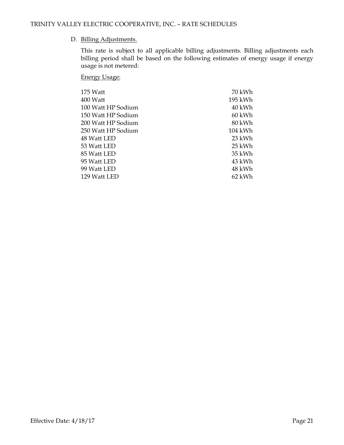# D. Billing Adjustments.

This rate is subject to all applicable billing adjustments. Billing adjustments each billing period shall be based on the following estimates of energy usage if energy usage is not metered:

Energy Usage:

| 175 Watt           | 70 kWh  |
|--------------------|---------|
| 400 Watt           | 195 kWh |
| 100 Watt HP Sodium | 40 kWh  |
| 150 Watt HP Sodium | 60 kWh  |
| 200 Watt HP Sodium | 80 kWh  |
| 250 Watt HP Sodium | 104 kWh |
| 48 Watt LED        | 23 kWh  |
| 53 Watt LED        | 25 kWh  |
| 85 Watt LED        | 35 kWh  |
| 95 Watt LED        | 43 kWh  |
| 99 Watt LED        | 48 kWh  |
| 129 Watt LED       | 62 kWh  |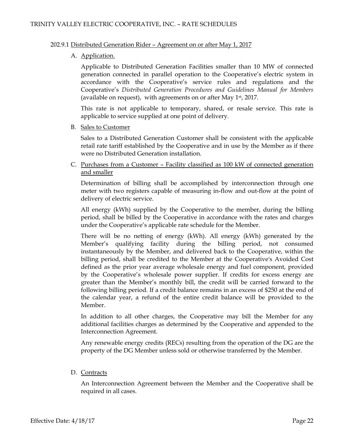#### 202.9.1 Distributed Generation Rider – Agreement on or after May 1, 2017

#### A. Application.

Applicable to Distributed Generation Facilities smaller than 10 MW of connected generation connected in parallel operation to the Cooperative's electric system in accordance with the Cooperative's service rules and regulations and the Cooperative's *Distributed Generation Procedures and Guidelines Manual for Members* (available on request), with agreements on or after May 1st, 2017.

This rate is not applicable to temporary, shared, or resale service. This rate is applicable to service supplied at one point of delivery.

B. Sales to Customer

Sales to a Distributed Generation Customer shall be consistent with the applicable retail rate tariff established by the Cooperative and in use by the Member as if there were no Distributed Generation installation.

C. Purchases from a Customer – Facility classified as 100 kW of connected generation and smaller

Determination of billing shall be accomplished by interconnection through one meter with two registers capable of measuring in-flow and out-flow at the point of delivery of electric service.

All energy (kWh) supplied by the Cooperative to the member, during the billing period, shall be billed by the Cooperative in accordance with the rates and charges under the Cooperative's applicable rate schedule for the Member.

There will be no netting of energy (kWh). All energy (kWh) generated by the Member's qualifying facility during the billing period, not consumed instantaneously by the Member, and delivered back to the Cooperative, within the billing period, shall be credited to the Member at the Cooperative's Avoided Cost defined as the prior year average wholesale energy and fuel component, provided by the Cooperative's wholesale power supplier. If credits for excess energy are greater than the Member's monthly bill, the credit will be carried forward to the following billing period. If a credit balance remains in an excess of \$250 at the end of the calendar year, a refund of the entire credit balance will be provided to the Member.

In addition to all other charges, the Cooperative may bill the Member for any additional facilities charges as determined by the Cooperative and appended to the Interconnection Agreement.

Any renewable energy credits (RECs) resulting from the operation of the DG are the property of the DG Member unless sold or otherwise transferred by the Member.

#### D. Contracts

An Interconnection Agreement between the Member and the Cooperative shall be required in all cases.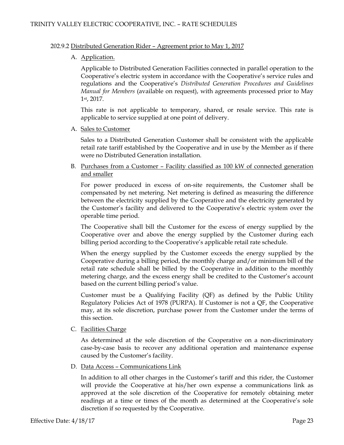#### 202.9.2 Distributed Generation Rider – Agreement prior to May 1, 2017

#### A. Application.

Applicable to Distributed Generation Facilities connected in parallel operation to the Cooperative's electric system in accordance with the Cooperative's service rules and regulations and the Cooperative's *Distributed Generation Procedures and Guidelines Manual for Members* (available on request), with agreements processed prior to May 1st, 2017.

This rate is not applicable to temporary, shared, or resale service. This rate is applicable to service supplied at one point of delivery.

A. Sales to Customer

Sales to a Distributed Generation Customer shall be consistent with the applicable retail rate tariff established by the Cooperative and in use by the Member as if there were no Distributed Generation installation.

B. Purchases from a Customer – Facility classified as 100 kW of connected generation and smaller

For power produced in excess of on-site requirements, the Customer shall be compensated by net metering. Net metering is defined as measuring the difference between the electricity supplied by the Cooperative and the electricity generated by the Customer's facility and delivered to the Cooperative's electric system over the operable time period.

The Cooperative shall bill the Customer for the excess of energy supplied by the Cooperative over and above the energy supplied by the Customer during each billing period according to the Cooperative's applicable retail rate schedule.

When the energy supplied by the Customer exceeds the energy supplied by the Cooperative during a billing period, the monthly charge and/or minimum bill of the retail rate schedule shall be billed by the Cooperative in addition to the monthly metering charge, and the excess energy shall be credited to the Customer's account based on the current billing period's value.

Customer must be a Qualifying Facility (QF) as defined by the Public Utility Regulatory Policies Act of 1978 (PURPA). If Customer is not a QF, the Cooperative may, at its sole discretion, purchase power from the Customer under the terms of this section.

C. Facilities Charge

As determined at the sole discretion of the Cooperative on a non-discriminatory case-by-case basis to recover any additional operation and maintenance expense caused by the Customer's facility.

D. Data Access – Communications Link

In addition to all other charges in the Customer's tariff and this rider, the Customer will provide the Cooperative at his/her own expense a communications link as approved at the sole discretion of the Cooperative for remotely obtaining meter readings at a time or times of the month as determined at the Cooperative's sole discretion if so requested by the Cooperative.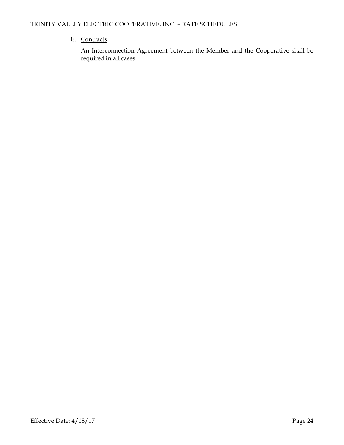# E. Contracts

An Interconnection Agreement between the Member and the Cooperative shall be required in all cases.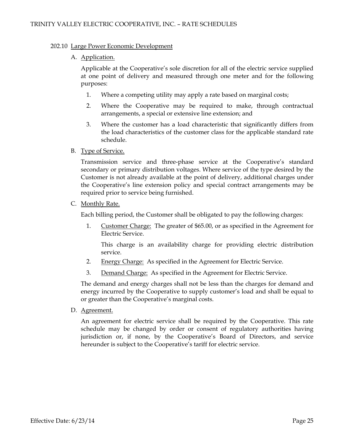#### 202.10 Large Power Economic Development

#### A. Application.

Applicable at the Cooperative's sole discretion for all of the electric service supplied at one point of delivery and measured through one meter and for the following purposes:

- 1. Where a competing utility may apply a rate based on marginal costs;
- 2. Where the Cooperative may be required to make, through contractual arrangements, a special or extensive line extension; and
- 3. Where the customer has a load characteristic that significantly differs from the load characteristics of the customer class for the applicable standard rate schedule.
- B. Type of Service.

Transmission service and three-phase service at the Cooperative's standard secondary or primary distribution voltages. Where service of the type desired by the Customer is not already available at the point of delivery, additional charges under the Cooperative's line extension policy and special contract arrangements may be required prior to service being furnished.

C. Monthly Rate.

Each billing period, the Customer shall be obligated to pay the following charges:

1. Customer Charge: The greater of \$65.00, or as specified in the Agreement for Electric Service.

This charge is an availability charge for providing electric distribution service.

- 2. Energy Charge: As specified in the Agreement for Electric Service.
- 3. Demand Charge: As specified in the Agreement for Electric Service.

The demand and energy charges shall not be less than the charges for demand and energy incurred by the Cooperative to supply customer's load and shall be equal to or greater than the Cooperative's marginal costs.

D. Agreement.

An agreement for electric service shall be required by the Cooperative. This rate schedule may be changed by order or consent of regulatory authorities having jurisdiction or, if none, by the Cooperative's Board of Directors, and service hereunder is subject to the Cooperative's tariff for electric service.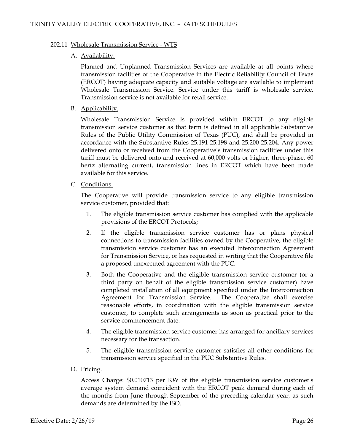#### 202.11 Wholesale Transmission Service - WTS

#### A. Availability.

Planned and Unplanned Transmission Services are available at all points where transmission facilities of the Cooperative in the Electric Reliability Council of Texas (ERCOT) having adequate capacity and suitable voltage are available to implement Wholesale Transmission Service. Service under this tariff is wholesale service. Transmission service is not available for retail service.

B. Applicability.

Wholesale Transmission Service is provided within ERCOT to any eligible transmission service customer as that term is defined in all applicable Substantive Rules of the Public Utility Commission of Texas (PUC), and shall be provided in accordance with the Substantive Rules 25.191-25.198 and 25.200-25.204. Any power delivered onto or received from the Cooperative's transmission facilities under this tariff must be delivered onto and received at 60,000 volts or higher, three-phase, 60 hertz alternating current, transmission lines in ERCOT which have been made available for this service.

C. Conditions.

The Cooperative will provide transmission service to any eligible transmission service customer, provided that:

- 1. The eligible transmission service customer has complied with the applicable provisions of the ERCOT Protocols;
- 2. If the eligible transmission service customer has or plans physical connections to transmission facilities owned by the Cooperative, the eligible transmission service customer has an executed Interconnection Agreement for Transmission Service, or has requested in writing that the Cooperative file a proposed unexecuted agreement with the PUC.
- 3. Both the Cooperative and the eligible transmission service customer (or a third party on behalf of the eligible transmission service customer) have completed installation of all equipment specified under the Interconnection Agreement for Transmission Service. The Cooperative shall exercise reasonable efforts, in coordination with the eligible transmission service customer, to complete such arrangements as soon as practical prior to the service commencement date.
- 4. The eligible transmission service customer has arranged for ancillary services necessary for the transaction.
- 5. The eligible transmission service customer satisfies all other conditions for transmission service specified in the PUC Substantive Rules.
- D. Pricing.

Access Charge: \$0.010713 per KW of the eligible transmission service customer's average system demand coincident with the ERCOT peak demand during each of the months from June through September of the preceding calendar year, as such demands are determined by the ISO.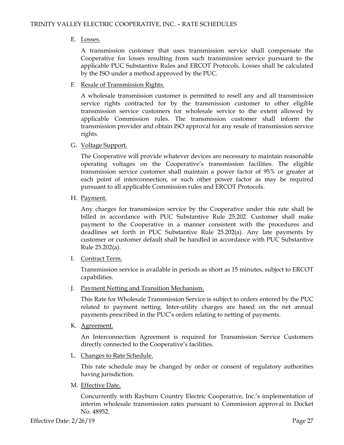#### E. Losses.

A transmission customer that uses transmission service shall compensate the Cooperative for losses resulting from such transmission service pursuant to the applicable PUC Substantive Rules and ERCOT Protocols. Losses shall be calculated by the ISO under a method approved by the PUC.

F. Resale of Transmission Rights.

A wholesale transmission customer is permitted to resell any and all transmission service rights contracted for by the transmission customer to other eligible transmission service customers for wholesale service to the extent allowed by applicable Commission rules. The transmission customer shall inform the transmission provider and obtain ISO approval for any resale of transmission service rights.

G. Voltage Support.

The Cooperative will provide whatever devices are necessary to maintain reasonable operating voltages on the Cooperative's transmission facilities. The eligible transmission service customer shall maintain a power factor of 95% or greater at each point of interconnection, or such other power factor as may be required pursuant to all applicable Commission rules and ERCOT Protocols.

H. Payment.

Any charges for transmission service by the Cooperative under this rate shall be billed in accordance with PUC Substantive Rule 25.202. Customer shall make payment to the Cooperative in a manner consistent with the procedures and deadlines set forth in PUC Substantive Rule 25.202(a). Any late payments by customer or customer default shall be handled in accordance with PUC Substantive Rule 25.202(a).

I. Contract Term.

Transmission service is available in periods as short as 15 minutes, subject to ERCOT capabilities.

J. Payment Netting and Transition Mechanism.

This Rate for Wholesale Transmission Service is subject to orders entered by the PUC related to payment netting. Inter-utility charges are based on the net annual payments prescribed in the PUC's orders relating to netting of payments.

K. Agreement.

An Interconnection Agreement is required for Transmission Service Customers directly connected to the Cooperative's facilities.

L. Changes to Rate Schedule.

This rate schedule may be changed by order or consent of regulatory authorities having jurisdiction.

M. Effective Date.

Concurrently with Rayburn Country Electric Cooperative, Inc.'s implementation of interim wholesale transmission rates pursuant to Commission approval in Docket No. 48952.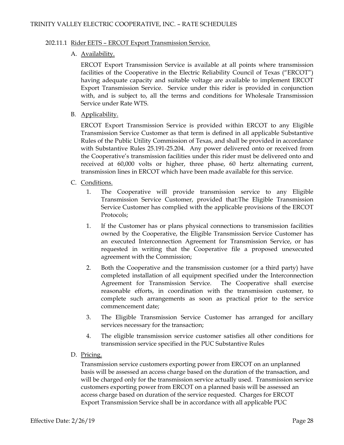#### 202.11.1 Rider EETS – ERCOT Export Transmission Service.

#### A. Availability.

ERCOT Export Transmission Service is available at all points where transmission facilities of the Cooperative in the Electric Reliability Council of Texas ("ERCOT") having adequate capacity and suitable voltage are available to implement ERCOT Export Transmission Service. Service under this rider is provided in conjunction with, and is subject to, all the terms and conditions for Wholesale Transmission Service under Rate WTS.

B. Applicability.

ERCOT Export Transmission Service is provided within ERCOT to any Eligible Transmission Service Customer as that term is defined in all applicable Substantive Rules of the Public Utility Commission of Texas, and shall be provided in accordance with Substantive Rules 25.191-25.204. Any power delivered onto or received from the Cooperative's transmission facilities under this rider must be delivered onto and received at 60,000 volts or higher, three phase, 60 hertz alternating current, transmission lines in ERCOT which have been made available for this service.

- C. Conditions.
	- 1. The Cooperative will provide transmission service to any Eligible Transmission Service Customer, provided that:The Eligible Transmission Service Customer has complied with the applicable provisions of the ERCOT Protocols;
	- 1. If the Customer has or plans physical connections to transmission facilities owned by the Cooperative, the Eligible Transmission Service Customer has an executed Interconnection Agreement for Transmission Service, or has requested in writing that the Cooperative file a proposed unexecuted agreement with the Commission;
	- 2. Both the Cooperative and the transmission customer (or a third party) have completed installation of all equipment specified under the Interconnection Agreement for Transmission Service. The Cooperative shall exercise reasonable efforts, in coordination with the transmission customer, to complete such arrangements as soon as practical prior to the service commencement date;
	- 3. The Eligible Transmission Service Customer has arranged for ancillary services necessary for the transaction;
	- 4. The eligible transmission service customer satisfies all other conditions for transmission service specified in the PUC Substantive Rules
- D. Pricing.

Transmission service customers exporting power from ERCOT on an unplanned basis will be assessed an access charge based on the duration of the transaction, and will be charged only for the transmission service actually used. Transmission service customers exporting power from ERCOT on a planned basis will be assessed an access charge based on duration of the service requested. Charges for ERCOT Export Transmission Service shall be in accordance with all applicable PUC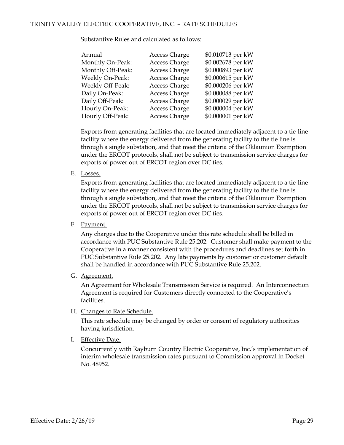| Annual            | <b>Access Charge</b> | \$0.010713 per kW |
|-------------------|----------------------|-------------------|
| Monthly On-Peak:  | <b>Access Charge</b> | \$0.002678 per kW |
| Monthly Off-Peak: | <b>Access Charge</b> | \$0.000893 per kW |
| Weekly On-Peak:   | <b>Access Charge</b> | \$0.000615 per kW |
| Weekly Off-Peak:  | <b>Access Charge</b> | \$0.000206 per kW |
| Daily On-Peak:    | <b>Access Charge</b> | \$0.000088 per kW |
| Daily Off-Peak:   | <b>Access Charge</b> | \$0.000029 per kW |
| Hourly On-Peak:   | <b>Access Charge</b> | \$0.000004 per kW |
| Hourly Off-Peak:  | <b>Access Charge</b> | \$0.000001 per kW |

Substantive Rules and calculated as follows:

Exports from generating facilities that are located immediately adjacent to a tie-line facility where the energy delivered from the generating facility to the tie line is through a single substation, and that meet the criteria of the Oklaunion Exemption under the ERCOT protocols, shall not be subject to transmission service charges for exports of power out of ERCOT region over DC ties.

E. Losses.

Exports from generating facilities that are located immediately adjacent to a tie-line facility where the energy delivered from the generating facility to the tie line is through a single substation, and that meet the criteria of the Oklaunion Exemption under the ERCOT protocols, shall not be subject to transmission service charges for exports of power out of ERCOT region over DC ties.

F. Payment.

Any charges due to the Cooperative under this rate schedule shall be billed in accordance with PUC Substantive Rule 25.202. Customer shall make payment to the Cooperative in a manner consistent with the procedures and deadlines set forth in PUC Substantive Rule 25.202. Any late payments by customer or customer default shall be handled in accordance with PUC Substantive Rule 25.202.

G. Agreement.

An Agreement for Wholesale Transmission Service is required. An Interconnection Agreement is required for Customers directly connected to the Cooperative's facilities.

H. Changes to Rate Schedule.

This rate schedule may be changed by order or consent of regulatory authorities having jurisdiction.

I. Effective Date.

Concurrently with Rayburn Country Electric Cooperative, Inc.'s implementation of interim wholesale transmission rates pursuant to Commission approval in Docket No. 48952.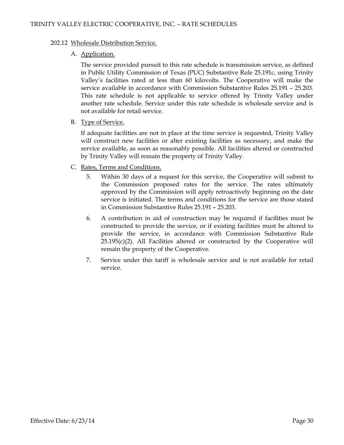#### 202.12 Wholesale Distribution Service.

#### A. Application.

The service provided pursuit to this rate schedule is transmission service, as defined in Public Utility Commission of Texas (PUC) Substantive Rule 25.191c, using Trinity Valley's facilities rated at less than 60 kilovolts. The Cooperative will make the service available in accordance with Commission Substantive Rules 25.191 – 25.203. This rate schedule is not applicable to service offered by Trinity Valley under another rate schedule. Service under this rate schedule is wholesale service and is not available for retail service.

B. Type of Service.

If adequate facilities are not in place at the time service is requested, Trinity Valley will construct new facilities or alter existing facilities as necessary, and make the service available, as soon as reasonably possible. All facilities altered or constructed by Trinity Valley will remain the property of Trinity Valley.

- C. Rates, Terms and Conditions.
	- 5. Within 30 days of a request for this service, the Cooperative will submit to the Commission proposed rates for the service. The rates ultimately approved by the Commission will apply retroactively beginning on the date service is initiated. The terms and conditions for the service are those stated in Commission Substantive Rules 25.191 – 25.203.
	- 6. A contribution in aid of construction may be required if facilities must be constructed to provide the service, or if existing facilities must be altered to provide the service, in accordance with Commission Substantive Rule  $25.195(c)(2)$ . All Facilities altered or constructed by the Cooperative will remain the property of the Cooperative.
	- 7. Service under this tariff is wholesale service and is not available for retail service.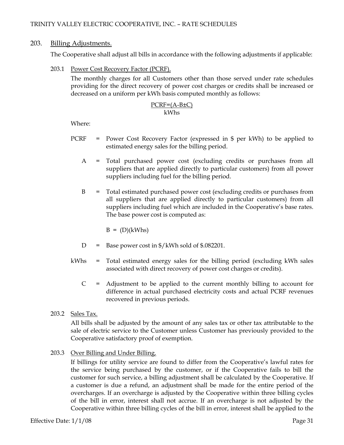## 203. Billing Adjustments.

The Cooperative shall adjust all bills in accordance with the following adjustments if applicable:

203.1 Power Cost Recovery Factor (PCRF).

The monthly charges for all Customers other than those served under rate schedules providing for the direct recovery of power cost charges or credits shall be increased or decreased on a uniform per kWh basis computed monthly as follows:

### PCRF=(A-B±C) kWhs

Where:

- PCRF = Power Cost Recovery Factor (expressed in \$ per kWh) to be applied to estimated energy sales for the billing period.
	- A = Total purchased power cost (excluding credits or purchases from all suppliers that are applied directly to particular customers) from all power suppliers including fuel for the billing period.
	- B = Total estimated purchased power cost (excluding credits or purchases from all suppliers that are applied directly to particular customers) from all suppliers including fuel which are included in the Cooperative's base rates. The base power cost is computed as:

 $B = (D)(kWhs)$ 

- D = Base power cost in  $\frac{1}{2}$  /kWh sold of \$.082201.
- kWhs = Total estimated energy sales for the billing period (excluding kWh sales associated with direct recovery of power cost charges or credits).
	- $C =$  Adjustment to be applied to the current monthly billing to account for difference in actual purchased electricity costs and actual PCRF revenues recovered in previous periods.
- 203.2 Sales Tax.

All bills shall be adjusted by the amount of any sales tax or other tax attributable to the sale of electric service to the Customer unless Customer has previously provided to the Cooperative satisfactory proof of exemption.

203.3 Over Billing and Under Billing.

If billings for utility service are found to differ from the Cooperative's lawful rates for the service being purchased by the customer, or if the Cooperative fails to bill the customer for such service, a billing adjustment shall be calculated by the Cooperative. If a customer is due a refund, an adjustment shall be made for the entire period of the overcharges. If an overcharge is adjusted by the Cooperative within three billing cycles of the bill in error, interest shall not accrue. If an overcharge is not adjusted by the Cooperative within three billing cycles of the bill in error, interest shall be applied to the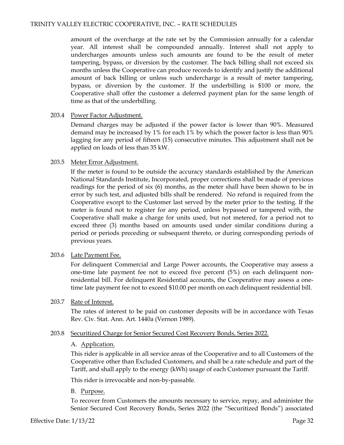amount of the overcharge at the rate set by the Commission annually for a calendar year. All interest shall be compounded annually. Interest shall not apply to undercharges amounts unless such amounts are found to be the result of meter tampering, bypass, or diversion by the customer. The back billing shall not exceed six months unless the Cooperative can produce records to identify and justify the additional amount of back billing or unless such undercharge is a result of meter tampering, bypass, or diversion by the customer. If the underbilling is \$100 or more, the Cooperative shall offer the customer a deferred payment plan for the same length of time as that of the underbilling.

#### 203.4 Power Factor Adjustment.

Demand charges may be adjusted if the power factor is lower than 90%. Measured demand may be increased by 1% for each 1% by which the power factor is less than 90% lagging for any period of fifteen (15) consecutive minutes. This adjustment shall not be applied on loads of less than 35 kW.

#### 203.5 Meter Error Adjustment.

If the meter is found to be outside the accuracy standards established by the American National Standards Institute, Incorporated, proper corrections shall be made of previous readings for the period of six (6) months, as the meter shall have been shown to be in error by such test, and adjusted bills shall be rendered. No refund is required from the Cooperative except to the Customer last served by the meter prior to the testing. If the meter is found not to register for any period, unless bypassed or tampered with, the Cooperative shall make a charge for units used, but not metered, for a period not to exceed three (3) months based on amounts used under similar conditions during a period or periods preceding or subsequent thereto, or during corresponding periods of previous years.

#### 203.6 Late Payment Fee.

For delinquent Commercial and Large Power accounts, the Cooperative may assess a one-time late payment fee not to exceed five percent (5%) on each delinquent nonresidential bill. For delinquent Residential accounts, the Cooperative may assess a onetime late payment fee not to exceed \$10.00 per month on each delinquent residential bill.

# 203.7 Rate of Interest.

The rates of interest to be paid on customer deposits will be in accordance with Texas Rev. Civ. Stat. Ann. Art. 1440a (Vernon 1989).

#### 203.8 Securitized Charge for Senior Secured Cost Recovery Bonds, Series 2022.

#### A. Application.

This rider is applicable in all service areas of the Cooperative and to all Customers of the Cooperative other than Excluded Customers, and shall be a rate schedule and part of the Tariff, and shall apply to the energy (kWh) usage of each Customer pursuant the Tariff.

This rider is irrevocable and non-by-passable.

#### B. Purpose.

To recover from Customers the amounts necessary to service, repay, and administer the Senior Secured Cost Recovery Bonds, Series 2022 (the "Securitized Bonds") associated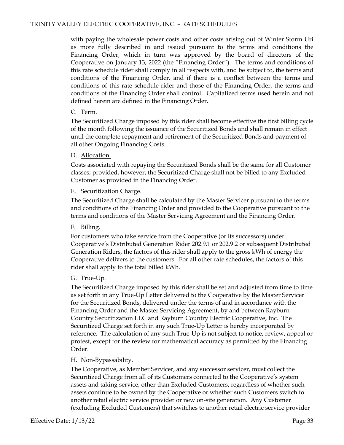with paying the wholesale power costs and other costs arising out of Winter Storm Uri as more fully described in and issued pursuant to the terms and conditions the Financing Order, which in turn was approved by the board of directors of the Cooperative on January 13, 2022 (the "Financing Order"). The terms and conditions of this rate schedule rider shall comply in all respects with, and be subject to, the terms and conditions of the Financing Order, and if there is a conflict between the terms and conditions of this rate schedule rider and those of the Financing Order, the terms and conditions of the Financing Order shall control. Capitalized terms used herein and not defined herein are defined in the Financing Order.

#### C. Term.

The Securitized Charge imposed by this rider shall become effective the first billing cycle of the month following the issuance of the Securitized Bonds and shall remain in effect until the complete repayment and retirement of the Securitized Bonds and payment of all other Ongoing Financing Costs.

# D. Allocation.

Costs associated with repaying the Securitized Bonds shall be the same for all Customer classes; provided, however, the Securitized Charge shall not be billed to any Excluded Customer as provided in the Financing Order.

# E. Securitization Charge.

The Securitized Charge shall be calculated by the Master Servicer pursuant to the terms and conditions of the Financing Order and provided to the Cooperative pursuant to the terms and conditions of the Master Servicing Agreement and the Financing Order.

#### F. Billing.

For customers who take service from the Cooperative (or its successors) under Cooperative's Distributed Generation Rider 202.9.1 or 202.9.2 or subsequent Distributed Generation Riders, the factors of this rider shall apply to the gross kWh of energy the Cooperative delivers to the customers. For all other rate schedules, the factors of this rider shall apply to the total billed kWh.

# G. True-Up.

The Securitized Charge imposed by this rider shall be set and adjusted from time to time as set forth in any True-Up Letter delivered to the Cooperative by the Master Servicer for the Securitized Bonds, delivered under the terms of and in accordance with the Financing Order and the Master Servicing Agreement, by and between Rayburn Country Securitization LLC and Rayburn Country Electric Cooperative, Inc. The Securitized Charge set forth in any such True-Up Letter is hereby incorporated by reference. The calculation of any such True-Up is not subject to notice, review, appeal or protest, except for the review for mathematical accuracy as permitted by the Financing Order.

#### H. Non-Bypassability.

The Cooperative, as Member Servicer, and any successor servicer, must collect the Securitized Charge from all of its Customers connected to the Cooperative's system assets and taking service, other than Excluded Customers, regardless of whether such assets continue to be owned by the Cooperative or whether such Customers switch to another retail electric service provider or new on-site generation. Any Customer (excluding Excluded Customers) that switches to another retail electric service provider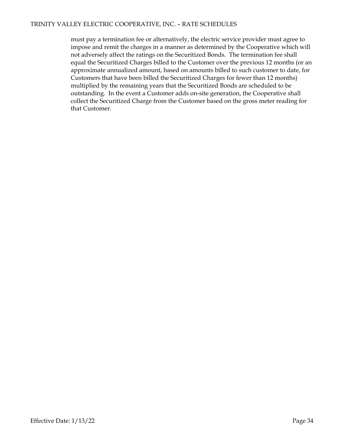must pay a termination fee or alternatively, the electric service provider must agree to impose and remit the charges in a manner as determined by the Cooperative which will not adversely affect the ratings on the Securitized Bonds. The termination fee shall equal the Securitized Charges billed to the Customer over the previous 12 months (or an approximate annualized amount, based on amounts billed to such customer to date, for Customers that have been billed the Securitized Charges for fewer than 12 months) multiplied by the remaining years that the Securitized Bonds are scheduled to be outstanding. In the event a Customer adds on-site generation, the Cooperative shall collect the Securitized Charge from the Customer based on the gross meter reading for that Customer.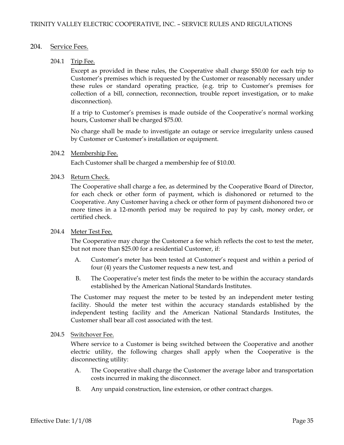#### 204. Service Fees.

#### 204.1 Trip Fee.

Except as provided in these rules, the Cooperative shall charge \$50.00 for each trip to Customer's premises which is requested by the Customer or reasonably necessary under these rules or standard operating practice, (e.g. trip to Customer's premises for collection of a bill, connection, reconnection, trouble report investigation, or to make disconnection).

If a trip to Customer's premises is made outside of the Cooperative's normal working hours, Customer shall be charged \$75.00.

No charge shall be made to investigate an outage or service irregularity unless caused by Customer or Customer's installation or equipment.

#### 204.2 Membership Fee.

Each Customer shall be charged a membership fee of \$10.00.

#### 204.3 Return Check.

The Cooperative shall charge a fee, as determined by the Cooperative Board of Director, for each check or other form of payment, which is dishonored or returned to the Cooperative. Any Customer having a check or other form of payment dishonored two or more times in a 12-month period may be required to pay by cash, money order, or certified check.

#### 204.4 Meter Test Fee.

The Cooperative may charge the Customer a fee which reflects the cost to test the meter, but not more than \$25.00 for a residential Customer, if:

- A. Customer's meter has been tested at Customer's request and within a period of four (4) years the Customer requests a new test, and
- B. The Cooperative's meter test finds the meter to be within the accuracy standards established by the American National Standards Institutes.

The Customer may request the meter to be tested by an independent meter testing facility. Should the meter test within the accuracy standards established by the independent testing facility and the American National Standards Institutes, the Customer shall bear all cost associated with the test.

#### 204.5 Switchover Fee.

Where service to a Customer is being switched between the Cooperative and another electric utility, the following charges shall apply when the Cooperative is the disconnecting utility:

- A. The Cooperative shall charge the Customer the average labor and transportation costs incurred in making the disconnect.
- B. Any unpaid construction, line extension, or other contract charges.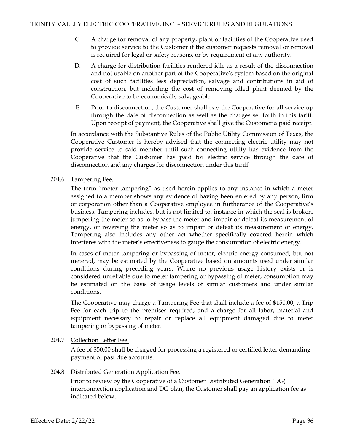- C. A charge for removal of any property, plant or facilities of the Cooperative used to provide service to the Customer if the customer requests removal or removal is required for legal or safety reasons, or by requirement of any authority.
- D. A charge for distribution facilities rendered idle as a result of the disconnection and not usable on another part of the Cooperative's system based on the original cost of such facilities less depreciation, salvage and contributions in aid of construction, but including the cost of removing idled plant deemed by the Cooperative to be economically salvageable.
- E. Prior to disconnection, the Customer shall pay the Cooperative for all service up through the date of disconnection as well as the charges set forth in this tariff. Upon receipt of payment, the Cooperative shall give the Customer a paid receipt.

In accordance with the Substantive Rules of the Public Utility Commission of Texas, the Cooperative Customer is hereby advised that the connecting electric utility may not provide service to said member until such connecting utility has evidence from the Cooperative that the Customer has paid for electric service through the date of disconnection and any charges for disconnection under this tariff.

# 204.6 Tampering Fee.

The term "meter tampering" as used herein applies to any instance in which a meter assigned to a member shows any evidence of having been entered by any person, firm or corporation other than a Cooperative employee in furtherance of the Cooperative's business. Tampering includes, but is not limited to, instance in which the seal is broken, jumpering the meter so as to bypass the meter and impair or defeat its measurement of energy, or reversing the meter so as to impair or defeat its measurement of energy. Tampering also includes any other act whether specifically covered herein which interferes with the meter's effectiveness to gauge the consumption of electric energy.

In cases of meter tampering or bypassing of meter, electric energy consumed, but not metered, may be estimated by the Cooperative based on amounts used under similar conditions during preceding years. Where no previous usage history exists or is considered unreliable due to meter tampering or bypassing of meter, consumption may be estimated on the basis of usage levels of similar customers and under similar conditions.

The Cooperative may charge a Tampering Fee that shall include a fee of \$150.00, a Trip Fee for each trip to the premises required, and a charge for all labor, material and equipment necessary to repair or replace all equipment damaged due to meter tampering or bypassing of meter.

# 204.7 Collection Letter Fee.

A fee of \$50.00 shall be charged for processing a registered or certified letter demanding payment of past due accounts.

### 204.8 Distributed Generation Application Fee.

Prior to review by the Cooperative of a Customer Distributed Generation (DG) interconnection application and DG plan, the Customer shall pay an application fee as indicated below.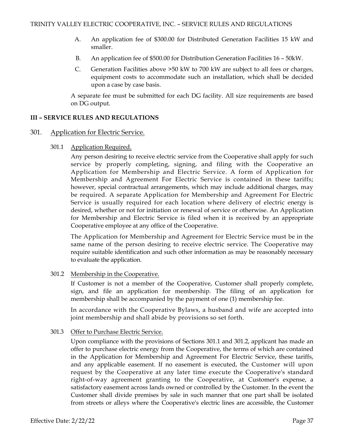- A. An application fee of \$300.00 for Distributed Generation Facilities 15 kW and smaller.
- B. An application fee of \$500.00 for Distribution Generation Facilities 16 50kW.
- C. Generation Facilities above >50 kW to 700 kW are subject to all fees or charges, equipment costs to accommodate such an installation, which shall be decided upon a case by case basis.

A separate fee must be submitted for each DG facility. All size requirements are based on DG output.

## **III – SERVICE RULES AND REGULATIONS**

## 301. Application for Electric Service.

301.1 Application Required.

Any person desiring to receive electric service from the Cooperative shall apply for such service by properly completing, signing, and filing with the Cooperative an Application for Membership and Electric Service. A form of Application for Membership and Agreement For Electric Service is contained in these tariffs; however, special contractual arrangements, which may include additional charges, may be required. A separate Application for Membership and Agreement For Electric Service is usually required for each location where delivery of electric energy is desired, whether or not for initiation or renewal of service or otherwise. An Application for Membership and Electric Service is filed when it is received by an appropriate Cooperative employee at any office of the Cooperative.

The Application for Membership and Agreement for Electric Service must be in the same name of the person desiring to receive electric service. The Cooperative may require suitable identification and such other information as may be reasonably necessary to evaluate the application.

### 301.2 Membership in the Cooperative.

If Customer is not a member of the Cooperative, Customer shall properly complete, sign, and file an application for membership. The filing of an application for membership shall be accompanied by the payment of one (1) membership fee.

In accordance with the Cooperative Bylaws, a husband and wife are accepted into joint membership and shall abide by provisions so set forth.

### 301.3 Offer to Purchase Electric Service.

Upon compliance with the provisions of Sections 301.1 and 301.2, applicant has made an offer to purchase electric energy from the Cooperative, the terms of which are contained in the Application for Membership and Agreement For Electric Service, these tariffs, and any applicable easement. If no easement is executed, the Customer will upon request by the Cooperative at any later time execute the Cooperative's standard right-of-way agreement granting to the Cooperative, at Customer's expense, a satisfactory easement across lands owned or controlled by the Customer. In the event the Customer shall divide premises by sale in such manner that one part shall be isolated from streets or alleys where the Cooperative's electric lines are accessible, the Customer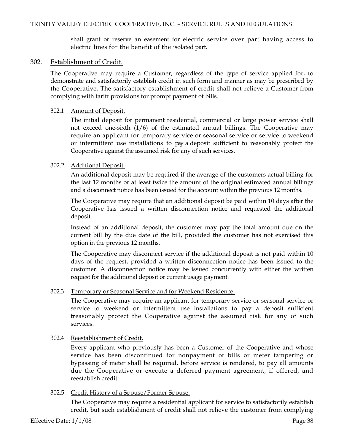shall grant or reserve an easement for electric service over part having access to electric lines for the benefit of the isolated part.

#### 302. Establishment of Credit.

The Cooperative may require a Customer, regardless of the type of service applied for, to demonstrate and satisfactorily establish credit in such form and manner as may be prescribed by the Cooperative. The satisfactory establishment of credit shall not relieve a Customer from complying with tariff provisions for prompt payment of bills.

#### 302.1 Amount of Deposit.

The initial deposit for permanent residential, commercial or large power service shall not exceed one-sixth  $(1/6)$  of the estimated annual billings. The Cooperative may require an applicant for temporary service or seasonal service or service to weekend or intermittent use installations to pay a deposit sufficient to reasonably protect the Cooperative against the assumed risk for any of such services.

#### 302.2 Additional Deposit.

An additional deposit may be required if the average of the customers actual billing for the last 12 months or at least twice the amount of the original estimated annual billings and a disconnect notice has been issued for the account within the previous 12 months.

The Cooperative may require that an additional deposit be paid within 10 days after the Cooperative has issued a written disconnection notice and requested the additional deposit.

Instead of an additional deposit, the customer may pay the total amount due on the current bill by the due date of the bill, provided the customer has not exercised this option in the previous 12 months.

The Cooperative may disconnect service if the additional deposit is not paid within 10 days of the request, provided a written disconnection notice has been issued to the customer. A disconnection notice may be issued concurrently with either the written request for the additional deposit or current usage payment.

#### 302.3 Temporary or Seasonal Service and for Weekend Residence.

The Cooperative may require an applicant for temporary service or seasonal service or service to weekend or intermittent use installations to pay a deposit sufficient treasonably protect the Cooperative against the assumed risk for any of such services.

### 302.4 Reestablishment of Credit.

Every applicant who previously has been a Customer of the Cooperative and whose service has been discontinued for nonpayment of bills or meter tampering or bypassing of meter shall be required, before service is rendered, to pay all amounts due the Cooperative or execute a deferred payment agreement, if offered, and reestablish credit.

### 302.5 Credit History of a Spouse/Former Spouse.

The Cooperative may require a residential applicant for service to satisfactorily establish credit, but such establishment of credit shall not relieve the customer from complying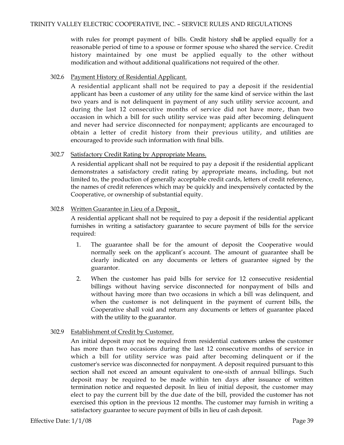with rules for prompt payment of bills. Credit history shall be applied equally for a reasonable period of time to a spouse or former spouse who shared the service. Credit history maintained by one must be applied equally to the other without modification and without additional qualifications not required of the other.

## 302.6 Payment History of Residential Applicant.

A residential applicant shall not be required to pay a deposit if the residential applicant has been a customer of any utility for the same kind of service within the last two years and is not delinquent in payment of any such utility service account, and during the last 12 consecutive months of service did not have more., than two occasion in which a bill for such utility service was paid after becoming delinquent and never had service disconnected for nonpayment; applicants are encouraged to obtain a letter of credit history from their previous utility, and utilities are encouraged to provide such information with final bills.

# 302.7 Satisfactory Credit Rating by Appropriate Means.

A residential applicant shall not be required to pay a deposit if the residential applicant demonstrates a satisfactory credit rating by appropriate means, including, but not limited to, the production of generally acceptable credit cards, letters of credit reference, the names of credit references which may be quickly and inexpensively contacted by the Cooperative, or ownership of substantial equity.

# 302.8 Written Guarantee in Lieu of a Deposit\_

A residential applicant shall not be required to pay a deposit if the residential applicant furnishes in writing a satisfactory guarantee to secure payment of bills for the service required:

- 1. The guarantee shall be for the amount of deposit the Cooperative would normally seek on the applicant's account. The amount of guarantee shall be clearly indicated on any documents or letters of guarantee signed by the guarantor.
- 2. When the customer has paid bills for service for 12 consecutive residential billings without having service disconnected for nonpayment of bills and without having more than two occasions in which a bill was delinquent, and when the customer is not delinquent in the payment of current bills, the Cooperative shall void and return any documents or letters of guarantee placed with the utility to the guarantor.

# 302.9 Establishment of Credit by Customer.

An initial deposit may not be required from residential customers unless the customer has more than two occasions during the last 12 consecutive months of service in which a bill for utility service was paid after becoming delinquent or if the customer's service was disconnected for nonpayment. A deposit required pursuant to this section shall not exceed an amount equivalent to one-sixth of annual billings. Such deposit may be required to be made within ten days after issuance of written termination notice and requested deposit. In lieu of initial deposit, the customer may elect to pay the current bill by the due date of the bill, provided the customer has not exercised this option in the previous 12 months. The customer may furnish in writing a satisfactory guarantee to secure payment of bills in lieu of cash deposit.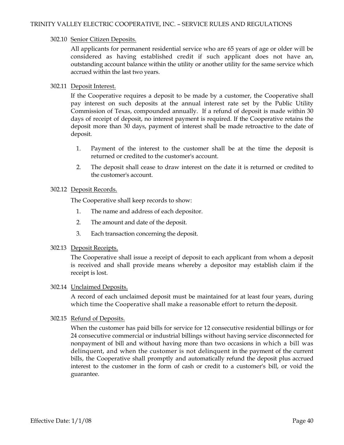## 302.10 Senior Citizen Deposits.

All applicants for permanent residential service who are 65 years of age or older will be considered as having established credit if such applicant does not have an, outstanding account balance within the utility or another utility for the same service which accrued within the last two years.

## 302.11 Deposit Interest.

If the Cooperative requires a deposit to be made by a customer, the Cooperative shall pay interest on such deposits at the annual interest rate set by the Public Utility Commission of Texas, compounded annually. If a refund of deposit is made within 30 days of receipt of deposit, no interest payment is required. If the Cooperative retains the deposit more than 30 days, payment of interest shall be made retroactive to the date of deposit.

- 1. Payment of the interest to the customer shall be at the time the deposit is returned or credited to the customer's account.
- 2. The deposit shall cease to draw interest on the date it is returned or credited to the customer's account.

## 302.12 Deposit Records.

The Cooperative shall keep records to show:

- 1. The name and address of each depositor.
- 2. The amount and date of the deposit.
- 3. Each transaction concerning the deposit.

# 302.13 Deposit Receipts.

The Cooperative shall issue a receipt of deposit to each applicant from whom a deposit is received and shall provide means whereby a depositor may establish claim if the receipt is lost.

### 302.14 Unclaimed Deposits.

A record of each unclaimed deposit must be maintained for at least four years, during which time the Cooperative shall make a reasonable effort to return the deposit.

# 302.15 Refund of Deposits.

When the customer has paid bills for service for 12 consecutive residential billings or for 24 consecutive commercial or industrial billings without having service disconnected for nonpayment of bill and without having more than two occasions in which a bill was delinquent, and when the customer is not delinquent in the payment of the current bills, the Cooperative shall promptly and automatically refund the deposit plus accrued interest to the customer in the form of cash or credit to a customer's bill, or void the guarantee.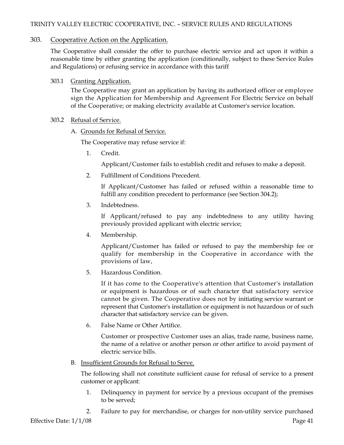# TRINITY VALLEY ELECTRIC COOPERATIVE, INC. – SERVICE RULES AND REGULATIONS

## 303. Cooperative Action on the Application.

The Cooperative shall consider the offer to purchase electric service and act upon it within a reasonable time by either granting the application (conditionally, subject to these Service Rules and Regulations) or refusing service in accordance with this tariff

### 303.1 Granting Application.

The Cooperative may grant an application by having its authorized officer or employee sign the Application for Membership and Agreement For Electric Service on behalf of the Cooperative; or making electricity available at Customer's service location.

### 303.2 Refusal of Service.

### A. Grounds for Refusal of Service.

The Cooperative may refuse service if:

1. Credit.

Applicant/Customer fails to establish credit and refuses to make a deposit.

2. Fulfillment of Conditions Precedent.

If Applicant/Customer has failed or refused within a reasonable time to fulfill any condition precedent to performance (see Section 304.2);

3. Indebtedness.

If Applicant/refused to pay any indebtedness to any utility having previously provided applicant with electric service;

4. Membership.

Applicant/Customer has failed or refused to pay the membership fee or qualify for membership in the Cooperative in accordance with the provisions of law,

5. Hazardous Condition.

If it has come to the Cooperative's attention that Customer's installation or equipment is hazardous or of such character that satisfactory service cannot be given. The Cooperative does not by initiating service warrant or represent that Customer's installation or equipment is not hazardous or of such character that satisfactory service can be given.

6. False Name or Other Artifice.

Customer or prospective Customer uses an alias, trade name, business name, the name of a relative or another person or other artifice to avoid payment of electric service bills.

B. Insufficient Grounds for Refusal to Serve.

The following shall not constitute sufficient cause for refusal of service to a present customer or applicant:

- 1. Delinquency in payment for service by a previous occupant of the premises to be served;
- 2. Failure to pay for merchandise, or charges for non-utility service purchased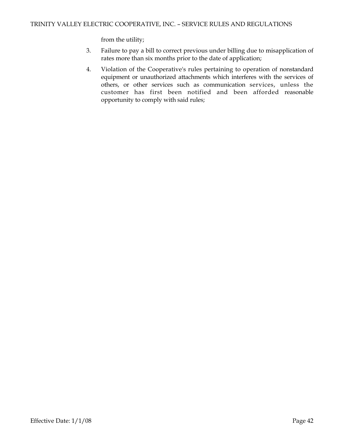from the utility;

- 3. Failure to pay a bill to correct previous under billing due to misapplication of rates more than six months prior to the date of application;
- 4. Violation of the Cooperative's rules pertaining to operation of nonstandard equipment or unauthorized attachments which interferes with the services of others, or other services such as communication services, unless the customer has first been notified and been afforded reasonable opportunity to comply with said rules;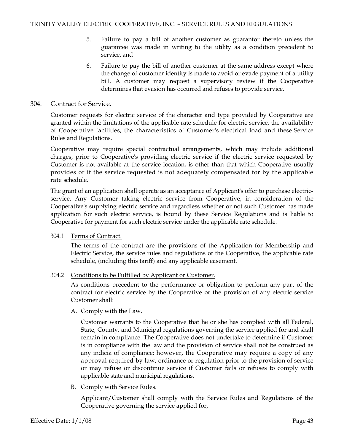- 5. Failure to pay a bill of another customer as guarantor thereto unless the guarantee was made in writing to the utility as a condition precedent to service, and
- 6. Failure to pay the bill of another customer at the same address except where the change of customer identity is made to avoid or evade payment of a utility bill. A customer may request a supervisory review if the Cooperative determines that evasion has occurred and refuses to provide service.

## 304. Contract for Service.

Customer requests for electric service of the character and type provided by Cooperative are granted within the limitations of the applicable rate schedule for electric service, the availability of Cooperative facilities, the characteristics of Customer's electrical load and these Service Rules and Regulations.

Cooperative may require special contractual arrangements, which may include additional charges, prior to Cooperative's providing electric service if the electric service requested by Customer is not available at the service location, is other than that which Cooperative usually provides or if the service requested is not adequately compensated for by the applicable rate schedule.

The grant of an application shall operate as an acceptance of Applicant's offer to purchase electricservice. Any Customer taking electric service from Cooperative, in consideration of the Cooperative's supplying electric service and regardless whether or not such Customer has made application for such electric service, is bound by these Service Regulations and is liable to Cooperative for payment for such electric service under the applicable rate schedule.

### 304.1 Terms of Contract.

The terms of the contract are the provisions of the Application for Membership and Electric Service, the service rules and regulations of the Cooperative, the applicable rate schedule, (including this tariff) and any applicable easement.

# 304.2 Conditions to be Fulfilled by Applicant or Customer.

As conditions precedent to the performance or obligation to perform any part of the contract for electric service by the Cooperative or the provision of any electric service Customer shall:

# A. Comply with the Law.

Customer warrants to the Cooperative that he or she has complied with all Federal, State, County, and Municipal regulations governing the service applied for and shall remain in compliance. The Cooperative does not undertake to determine if Customer is in compliance with the law and the provision of service shall not be construed as any indicia of compliance; however, the Cooperative may require a copy of any approval required by law, ordinance or regulation prior to the provision of service or may refuse or discontinue service if Customer fails or refuses to comply with applicable state and municipal regulations.

B. Comply with Service Rules.

Applicant/Customer shall comply with the Service Rules and Regulations of the Cooperative governing the service applied for,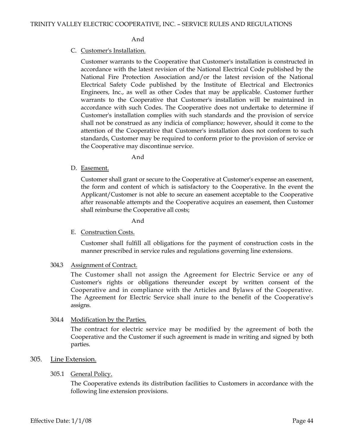### And

## C. Customer's Installation.

Customer warrants to the Cooperative that Customer's installation is constructed in accordance with the latest revision of the National Electrical Code published by the National Fire Protection Association and/or the latest revision of the National Electrical Safety Code published by the Institute of Electrical and Electronics Engineers, Inc., as well as other Codes that may be applicable. Customer further warrants to the Cooperative that Customer's installation will be maintained in accordance with such Codes. The Cooperative does not undertake to determine if Customer's installation complies with such standards and the provision of service shall not be construed as any indicia of compliance; however, should it come to the attention of the Cooperative that Customer's installation does not conform to such standards, Customer may be required to conform prior to the provision of service or the Cooperative may discontinue service.

And

D. Easement.

Customer shall grant or secure to the Cooperative at Customer's expense an easement, the form and content of which is satisfactory to the Cooperative. In the event the Applicant/Customer is not able to secure an easement acceptable to the Cooperative after reasonable attempts and the Cooperative acquires an easement, then Customer shall reimburse the Cooperative all costs;

And

E. Construction Costs.

Customer shall fulfill all obligations for the payment of construction costs in the manner prescribed in service rules and regulations governing line extensions.

304.3 Assignment of Contract.

The Customer shall not assign the Agreement for Electric Service or any of Customer's rights or obligations thereunder except by written consent of the Cooperative and in compliance with the Articles and Bylaws of the Cooperative. The Agreement for Electric Service shall inure to the benefit of the Cooperative's assigns.

# 304.4 Modification by the Parties.

The contract for electric service may be modified by the agreement of both the Cooperative and the Customer if such agreement is made in writing and signed by both parties.

## 305. Line Extension.

# 305.1 General Policy.

The Cooperative extends its distribution facilities to Customers in accordance with the following line extension provisions.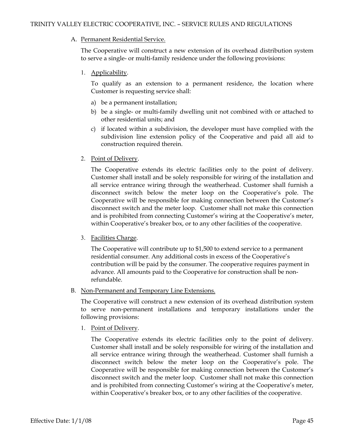## A. Permanent Residential Service.

The Cooperative will construct a new extension of its overhead distribution system to serve a single- or multi-family residence under the following provisions:

# 1. Applicability.

To qualify as an extension to a permanent residence, the location where Customer is requesting service shall:

- a) be a permanent installation;
- b) be a single- or multi-family dwelling unit not combined with or attached to other residential units; and
- c) if located within a subdivision, the developer must have complied with the subdivision line extension policy of the Cooperative and paid all aid to construction required therein.
- 2. Point of Delivery.

The Cooperative extends its electric facilities only to the point of delivery. Customer shall install and be solely responsible for wiring of the installation and all service entrance wiring through the weatherhead. Customer shall furnish a disconnect switch below the meter loop on the Cooperative's pole. The Cooperative will be responsible for making connection between the Customer's disconnect switch and the meter loop. Customer shall not make this connection and is prohibited from connecting Customer's wiring at the Cooperative's meter, within Cooperative's breaker box, or to any other facilities of the cooperative.

3. Facilities Charge.

The Cooperative will contribute up to \$1,500 to extend service to a permanent residential consumer. Any additional costs in excess of the Cooperative's contribution will be paid by the consumer. The cooperative requires payment in advance. All amounts paid to the Cooperative for construction shall be nonrefundable.

### B. Non-Permanent and Temporary Line Extensions.

The Cooperative will construct a new extension of its overhead distribution system to serve non-permanent installations and temporary installations under the following provisions:

1. Point of Delivery.

The Cooperative extends its electric facilities only to the point of delivery. Customer shall install and be solely responsible for wiring of the installation and all service entrance wiring through the weatherhead. Customer shall furnish a disconnect switch below the meter loop on the Cooperative's pole. The Cooperative will be responsible for making connection between the Customer's disconnect switch and the meter loop. Customer shall not make this connection and is prohibited from connecting Customer's wiring at the Cooperative's meter, within Cooperative's breaker box, or to any other facilities of the cooperative.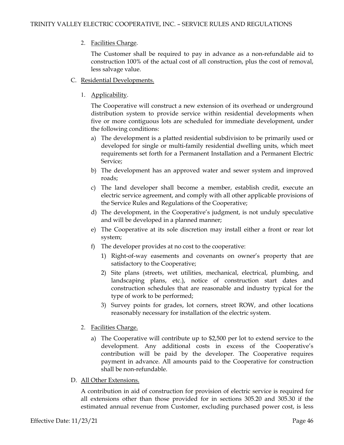# 2. Facilities Charge.

The Customer shall be required to pay in advance as a non-refundable aid to construction 100% of the actual cost of all construction, plus the cost of removal, less salvage value.

- C. Residential Developments.
	- 1. Applicability.

The Cooperative will construct a new extension of its overhead or underground distribution system to provide service within residential developments when five or more contiguous lots are scheduled for immediate development, under the following conditions:

- a) The development is a platted residential subdivision to be primarily used or developed for single or multi-family residential dwelling units, which meet requirements set forth for a Permanent Installation and a Permanent Electric Service;
- b) The development has an approved water and sewer system and improved roads;
- c) The land developer shall become a member, establish credit, execute an electric service agreement, and comply with all other applicable provisions of the Service Rules and Regulations of the Cooperative;
- d) The development, in the Cooperative's judgment, is not unduly speculative and will be developed in a planned manner;
- e) The Cooperative at its sole discretion may install either a front or rear lot system;
- f) The developer provides at no cost to the cooperative:
	- 1) Right-of-way easements and covenants on owner's property that are satisfactory to the Cooperative;
	- 2) Site plans (streets, wet utilities, mechanical, electrical, plumbing, and landscaping plans, etc.), notice of construction start dates and construction schedules that are reasonable and industry typical for the type of work to be performed;
	- 3) Survey points for grades, lot corners, street ROW, and other locations reasonably necessary for installation of the electric system.

# 2. Facilities Charge.

- a) The Cooperative will contribute up to \$2,500 per lot to extend service to the development. Any additional costs in excess of the Cooperative's contribution will be paid by the developer. The Cooperative requires payment in advance. All amounts paid to the Cooperative for construction shall be non-refundable.
- D. All Other Extensions.

A contribution in aid of construction for provision of electric service is required for all extensions other than those provided for in sections 305.20 and 305.30 if the estimated annual revenue from Customer, excluding purchased power cost, is less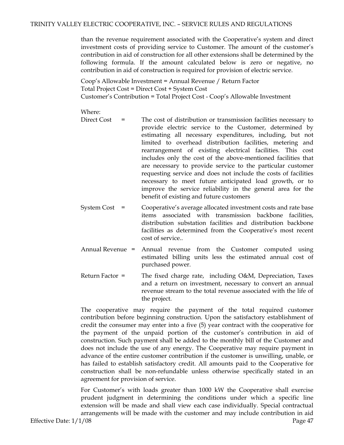than the revenue requirement associated with the Cooperative's system and direct investment costs of providing service to Customer. The amount of the customer's contribution in aid of construction for all other extensions shall be determined by the following formula. If the amount calculated below is zero or negative, no contribution in aid of construction is required for provision of electric service.

Coop's Allowable Investment = Annual Revenue / Return Factor Total Project Cost = Direct Cost + System Cost Customer's Contribution = Total Project Cost - Coop's Allowable Investment

#### Where:

- Direct Cost = The cost of distribution or transmission facilities necessary to provide electric service to the Customer, determined by estimating all necessary expenditures, including, but not limited to overhead distribution facilities, metering and rearrangement of existing electrical facilities. This cost includes only the cost of the above-mentioned facilities that are necessary to provide service to the particular customer requesting service and does not include the costs of facilities necessary to meet future anticipated load growth, or to improve the service reliability in the general area for the benefit of existing and future customers
- System Cost = Cooperative's average allocated investment costs and rate base items associated with transmission backbone facilities, distribution substation facilities and distribution backbone facilities as determined from the Cooperative's most recent cost of service..
- Annual Revenue = Annual revenue from the Customer computed using estimated billing units less the estimated annual cost of purchased power.
- Return Factor = The fixed charge rate, including O&M, Depreciation, Taxes and a return on investment, necessary to convert an annual revenue stream to the total revenue associated with the life of the project.

The cooperative may require the payment of the total required customer contribution before beginning construction. Upon the satisfactory establishment of credit the consumer may enter into a five (5) year contract with the cooperative for the payment of the unpaid portion of the customer's contribution in aid of construction. Such payment shall be added to the monthly bill of the Customer and does not include the use of any energy. The Cooperative may require payment in advance of the entire customer contribution if the customer is unwilling, unable, or has failed to establish satisfactory credit. All amounts paid to the Cooperative for construction shall be non-refundable unless otherwise specifically stated in an agreement for provision of service.

For Customer's with loads greater than 1000 kW the Cooperative shall exercise prudent judgment in determining the conditions under which a specific line extension will be made and shall view each case individually. Special contractual arrangements will be made with the customer and may include contribution in aid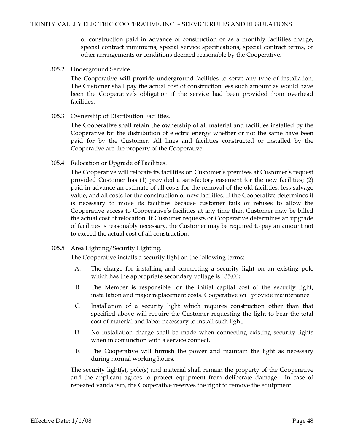of construction paid in advance of construction or as a monthly facilities charge, special contract minimums, special service specifications, special contract terms, or other arrangements or conditions deemed reasonable by the Cooperative.

## 305.2 Underground Service.

The Cooperative will provide underground facilities to serve any type of installation. The Customer shall pay the actual cost of construction less such amount as would have been the Cooperative's obligation if the service had been provided from overhead facilities.

## 305.3 Ownership of Distribution Facilities.

The Cooperative shall retain the ownership of all material and facilities installed by the Cooperative for the distribution of electric energy whether or not the same have been paid for by the Customer. All lines and facilities constructed or installed by the Cooperative are the property of the Cooperative.

## 305.4 Relocation or Upgrade of Facilities.

The Cooperative will relocate its facilities on Customer's premises at Customer's request provided Customer has (1) provided a satisfactory easement for the new facilities; (2) paid in advance an estimate of all costs for the removal of the old facilities, less salvage value, and all costs for the construction of new facilities. If the Cooperative determines it is necessary to move its facilities because customer fails or refuses to allow the Cooperative access to Cooperative's facilities at any time then Customer may be billed the actual cost of relocation. If Customer requests or Cooperative determines an upgrade of facilities is reasonably necessary, the Customer may be required to pay an amount not to exceed the actual cost of all construction.

# 305.5 Area Lighting/Security Lighting.

The Cooperative installs a security light on the following terms:

- A. The charge for installing and connecting a security light on an existing pole which has the appropriate secondary voltage is \$35.00;
- B. The Member is responsible for the initial capital cost of the security light, installation and major replacement costs. Cooperative will provide maintenance.
- C. Installation of a security light which requires construction other than that specified above will require the Customer requesting the light to bear the total cost of material and labor necessary to install such light;
- D. No installation charge shall be made when connecting existing security lights when in conjunction with a service connect.
- E. The Cooperative will furnish the power and maintain the light as necessary during normal working hours.

The security light(s), pole(s) and material shall remain the property of the Cooperative and the applicant agrees to protect equipment from deliberate damage. In case of repeated vandalism, the Cooperative reserves the right to remove the equipment.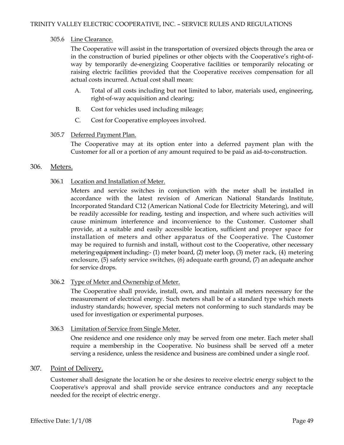## 305.6 Line Clearance.

The Cooperative will assist in the transportation of oversized objects through the area or in the construction of buried pipelines or other objects with the Cooperative's right-ofway by temporarily de-energizing Cooperative facilities or temporarily relocating or raising electric facilities provided that the Cooperative receives compensation for all actual costs incurred. Actual cost shall mean:

- A. Total of all costs including but not limited to labor, materials used, engineering, right-of-way acquisition and clearing;
- B. Cost for vehicles used including mileage;
- C. Cost for Cooperative employees involved.

## 305.7 Deferred Payment Plan.

The Cooperative may at its option enter into a deferred payment plan with the Customer for all or a portion of any amount required to be paid as aid-to-construction.

## 306. Meters.

## 306.1 Location and Installation of Meter.

Meters and service switches in conjunction with the meter shall be installed in accordance with the latest revision of American National Standards Institute, Incorporated Standard C12 (American National Code for Electricity Metering), and will be readily accessible for reading, testing and inspection, and where such activities will cause minimum interference and inconvenience to the Customer. Customer shall provide, at a suitable and easily accessible location, sufficient and proper space for installation of meters and other apparatus of the Cooperative. The Customer may be required to furnish and install, without cost to the Cooperative, other necessary metering-equipment including:- (1) meter board, (2) meter loop, (3) meter rack, (4) metering enclosure, (5) safety service switches, (6) adequate earth ground, (7) an adequate anchor for service drops.

# 306.2 Type of Meter and Ownership of Meter.

The Cooperative shall provide, install, own, and maintain all meters necessary for the measurement of electrical energy. Such meters shall be of a standard type which meets industry standards; however, special meters not conforming to such standards may be used for investigation or experimental purposes.

### 306.3 Limitation of Service from Single Meter.

One residence and one residence only may be served from one meter. Each meter shall require a membership in the Cooperative. No business shall be served off a meter serving a residence, unless the residence and business are combined under a single roof.

# 307. Point of Delivery.

Customer shall designate the location he or she desires to receive electric energy subject to the Cooperative's approval and shall provide service entrance conductors and any receptacle needed for the receipt of electric energy.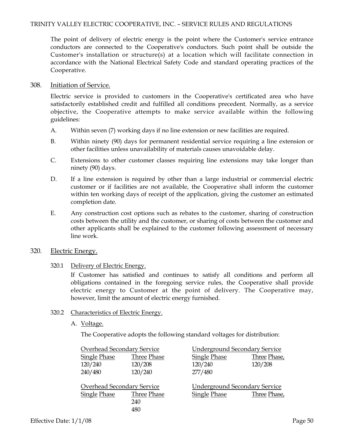## TRINITY VALLEY ELECTRIC COOPERATIVE, INC. – SERVICE RULES AND REGULATIONS

The point of delivery of electric energy is the point where the Customer's service entrance conductors are connected to the Cooperative's conductors. Such point shall be outside the Customer's installation or structure(s) at a location which will facilitate connection in accordance with the National Electrical Safety Code and standard operating practices of the Cooperative.

## 308. Initiation of Service.

Electric service is provided to customers in the Cooperative's certificated area who have satisfactorily established credit and fulfilled all conditions precedent. Normally, as a service objective, the Cooperative attempts to make service available within the following guidelines:

- A. Within seven (7) working days if no line extension or new facilities are required.
- B. Within ninety (90) days for permanent residential service requiring a line extension or other facilities unless unavailability of materials causes unavoidable delay.
- C. Extensions to other customer classes requiring line extensions may take longer than ninety (90) days.
- D. If a line extension is required by other than a large industrial or commercial electric customer or if facilities are not available, the Cooperative shall inform the customer within ten working days of receipt of the application, giving the customer an estimated completion date.
- E. Any construction cost options such as rebates to the customer, sharing of construction costs between the utility and the customer, or sharing of costs between the customer and other applicants shall be explained to the customer following assessment of necessary line work.

### 320. Electric Energy.

320.1 Delivery of Electric Energy.

If Customer has satisfied and continues to satisfy all conditions and perform all obligations contained in the foregoing service rules, the Cooperative shall provide electric energy to Customer at the point of delivery. The Cooperative may, however, limit the amount of electric energy furnished.

### 320.2 Characteristics of Electric Energy.

A. Voltage.

The Cooperative adopts the following standard voltages for distribution:

| Overhead Secondary Service |                    |                                      | <b>Underground Secondary Service</b> |  |
|----------------------------|--------------------|--------------------------------------|--------------------------------------|--|
| <b>Single Phase</b>        | <b>Three Phase</b> | <b>Single Phase</b>                  | Three Phase,                         |  |
| 120/240                    | 120/208            | 120/240                              | 120/208                              |  |
| 240/480                    | 120/240            | 277/480                              |                                      |  |
| Overhead Secondary Service |                    | <b>Underground Secondary Service</b> |                                      |  |
| <b>Single Phase</b>        | Three Phase        | <b>Single Phase</b>                  | Three Phase,                         |  |
|                            | 240                |                                      |                                      |  |
|                            | 480                |                                      |                                      |  |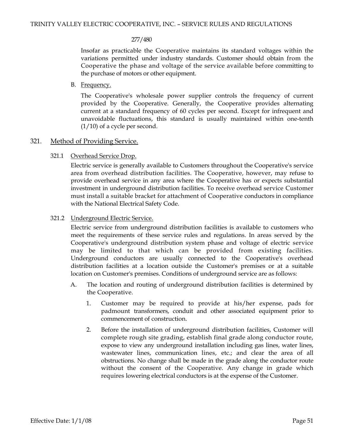#### 277/480

Insofar as practicable the Cooperative maintains its standard voltages within the variations permitted under industry standards. Customer should obtain from the Cooperative the phase and voltage of the service available before committing to the purchase of motors or other equipment.

# B. Frequency.

The Cooperative's wholesale power supplier controls the frequency of current provided by the Cooperative. Generally, the Cooperative provides alternating current at a standard frequency of 60 cycles per second. Except for infrequent and unavoidable fluctuations, this standard is usually maintained within one-tenth  $(1/10)$  of a cycle per second.

# 321. Method of Providing Service.

# 321.1 Overhead Service Drop.

Electric service is generally available to Customers throughout the Cooperative's service area from overhead distribution facilities. The Cooperative, however, may refuse to provide overhead service in any area where the Cooperative has or expects substantial investment in underground distribution facilities. To receive overhead service Customer must install a suitable bracket for attachment of Cooperative conductors in compliance with the National Electrical Safety Code.

## 321.2 Underground Electric Service.

Electric service from underground distribution facilities is available to customers who meet the requirements of these service rules and regulations. In areas served by the Cooperative's underground distribution system phase and voltage of electric service may be limited to that which can be provided from existing facilities. Underground conductors are usually connected to the Cooperative's overhead distribution facilities at a location outside the Customer's premises or at a suitable location on Customer's premises. Conditions of underground service are as follows:

- A. The location and routing of underground distribution facilities is determined by the Cooperative.
	- 1. Customer may be required to provide at his/her expense, pads for padmount transformers, conduit and other associated equipment prior to commencement of construction.
	- 2. Before the installation of underground distribution facilities, Customer will complete rough site grading, establish final grade along conductor route, expose to view any underground installation including gas lines, water lines, wastewater lines, communication lines, etc.; and clear the area of all obstructions. No change shall be made in the grade along the conductor route without the consent of the Cooperative. Any change in grade which requires lowering electrical conductors is at the expense of the Customer.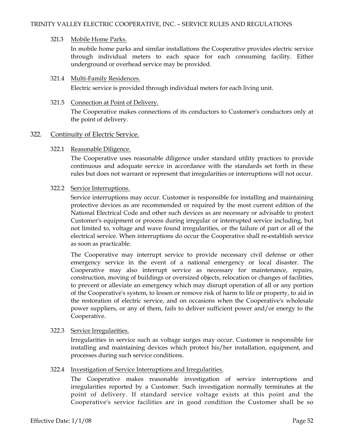## 321.3 Mobile Home Parks.

In mobile home parks and similar installations the Cooperative provides electric service through individual meters to each space for each consuming facility. Either underground or overhead service may be provided.

## 321.4 Multi-Family Residences.

Electric service is provided through individual meters for each living unit.

## 321.5 Connection at Point of Delivery.

The Cooperative makes connections of its conductors to Customer's conductors only at the point of delivery.

# 322. Continuity of Electric Service.

## 322.1 Reasonable Diligence.

The Cooperative uses reasonable diligence under standard utility practices to provide continuous and adequate service in accordance with the standards set forth in these rules but does not warrant or represent that irregularities or interruptions will not occur.

### 322.2 Service Interruptions.

Service interruptions may occur. Customer is responsible for installing and maintaining protective devices as are recommended or required by the most current edition of the National Electrical Code and other such devices as are necessary or advisable to protect Customer's equipment or process during irregular or interrupted service including, but not limited to, voltage and wave found irregularities, or the failure of part or all of the electrical service. When interruptions do occur the Cooperative shall re-establish service as soon as practicable.

The Cooperative may interrupt service to provide necessary civil defense or other emergency service in the event of a national emergency or local disaster. The Cooperative may also interrupt service as necessary for maintenance, repairs, construction, moving of buildings or oversized objects, relocation or changes of facilities, to prevent or alleviate an emergency which may disrupt operation of all or any portion of the Cooperative's system, to lessen or remove risk of harm to life or property, to aid in the restoration of electric service, and on occasions when the Cooperative's wholesale power suppliers, or any of them, fails to deliver sufficient power and/or energy to the Cooperative.

# 322.3 Service Irregularities.

Irregularities in service such as voltage surges may occur. Customer is responsible for installing and maintaining devices which protect his/her installation, equipment, and processes during such service conditions.

# 322.4 Investigation of Service Interruptions and Irregularities.

The Cooperative makes reasonable investigation of service interruptions and irregularities reported by a Customer. Such investigation normally terminates at the point of delivery. If standard service voltage exists at this point and the Cooperative's service facilities are in good condition the Customer shall be so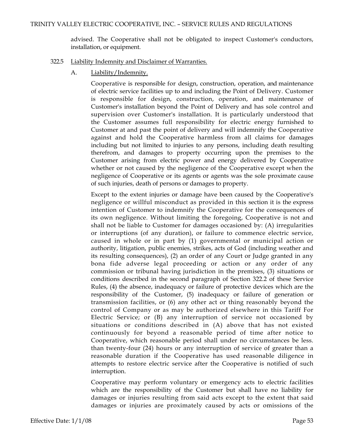advised. The Cooperative shall not be obligated to inspect Customer's conductors, installation, or equipment.

- 322.5 Liability Indemnity and Disclaimer of Warranties.
	- A. Liability/Indemnity.

Cooperative is responsible for design, construction, operation, and maintenance of electric service facilities up to and including the Point of Delivery. Customer is responsible for design, construction, operation, and maintenance of Customer's installation beyond the Point of Delivery and has sole control and supervision over Customer's installation. It is particularly understood that the Customer assumes full responsibility for electric energy furnished to Customer at and past the point of delivery and will indemnify the Cooperative against and hold the Cooperative harmless from all claims for damages including but not limited to injuries to any persons, including death resulting therefrom, and damages to property occurring upon the premises to the Customer arising from electric power and energy delivered by Cooperative whether or not caused by the negligence of the Cooperative except when the negligence of Cooperative or its agents or agents was the sole proximate cause of such injuries, death of persons or damages to property.

Except to the extent injuries or damage have been caused by the Cooperative's negligence or willful misconduct as provided in this section it is the express intention of Customer to indemnify the Cooperative for the consequences of its own negligence. Without limiting the foregoing, Cooperative is not and shall not be liable to Customer for damages occasioned by: (A) irregularities or interruptions (of any duration), or failure to commence electric service, caused in whole or in part by (1) governmental or municipal action or authority, litigation, public enemies, strikes, acts of God (including weather and its resulting consequences), (2) an order of any Court or Judge granted in any bona fide adverse legal proceeding or action or any order of any commission or tribunal having jurisdiction in the premises, (3) situations or conditions described in the second paragraph of Section 322.2 of these Service Rules, (4) the absence, inadequacy or failure of protective devices which are the responsibility of the Customer, (5) inadequacy or failure of generation or transmission facilities, or (6) any other act or thing reasonably beyond the control of Company or as may be authorized elsewhere in this Tariff For Electric Service; or (B) any interruption of service not occasioned by situations or conditions described in (A) above that has not existed continuously for beyond a reasonable period of time after notice to Cooperative, which reasonable period shall under no circumstances be less. than twenty-four (24) hours or any interruption of service of greater than a reasonable duration if the Cooperative has used reasonable diligence in attempts to restore electric service after the Cooperative is notified of such interruption.

Cooperative may perform voluntary or emergency acts to electric facilities which are the responsibility of the Customer but shall have no liability for damages or injuries resulting from said acts except to the extent that said damages or injuries are proximately caused by acts or omissions of the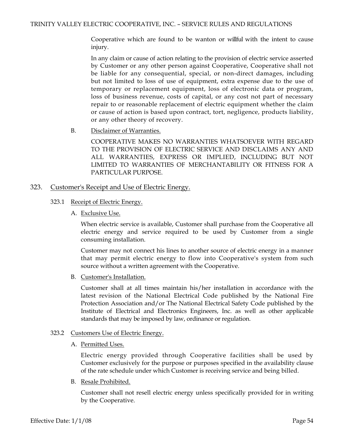Cooperative which are found to be wanton or willful with the intent to cause injury.

In any claim or cause of action relating to the provision of electric service asserted by Customer or any other person against Cooperative, Cooperative shall not be liable for any consequential, special, or non-direct damages, including but not limited to loss of use of equipment, extra expense due to the use of temporary or replacement equipment, loss of electronic data or program, loss of business revenue, costs of capital, or any cost not part of necessary repair to or reasonable replacement of electric equipment whether the claim or cause of action is based upon contract, tort, negligence, products liability, or any other theory of recovery.

B. Disclaimer of Warranties.

COOPERATIVE MAKES NO WARRANTIES WHATSOEVER WITH REGARD TO THE PROVISION OF ELECTRIC SERVICE AND DISCLAIMS ANY AND ALL WARRANTIES, EXPRESS OR IMPLIED, INCLUDING BUT NOT LIMITED TO WARRANTIES OF MERCHANTABILITY OR FITNESS FOR A PARTICULAR PURPOSE.

### 323. Customer's Receipt and Use of Electric Energy.

- 323.1 Receipt of Electric Energy.
	- A. Exclusive Use.

When electric service is available, Customer shall purchase from the Cooperative all electric energy and service required to be used by Customer from a single consuming installation.

Customer may not connect his lines to another source of electric energy in a manner that may permit electric energy to flow into Cooperative's system from such source without a written agreement with the Cooperative.

B. Customer's Installation.

Customer shall at all times maintain his/her installation in accordance with the latest revision of the National Electrical Code published by the National Fire Protection Association and/or The National Electrical Safety Code published by the Institute of Electrical and Electronics Engineers, Inc. as well as other applicable standards that may be imposed by law, ordinance or regulation.

#### 323.2 Customers Use of Electric Energy.

A. Permitted Uses.

Electric energy provided through Cooperative facilities shall be used by Customer exclusively for the purpose or purposes specified in the availability clause of the rate schedule under which Customer is receiving service and being billed.

B. Resale Prohibited.

Customer shall not resell electric energy unless specifically provided for in writing by the Cooperative.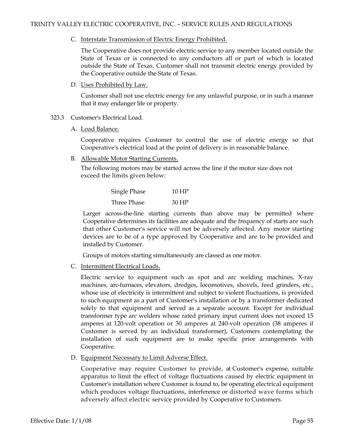C. Interstate Transmission of Electric Energy Prohibited.

The Cooperative does not provide electric service to any member located outside the State of Texas or is connected to any conductors all or part of which is located outside the State of Texas. Customer shall not transmit electric energy provided by the Cooperative outside the State of Texas.

D. Uses Prohibited by Law.

Customer shall not use electric energy for any unlawful purpose, or in such a manner that it may endanger life or property.

- 323.3 Customer's Electrical Load.
	- A. Load Balance.

Cooperative requires Customer to control the use of electric energy so that Cooperative's electrical load at the point of delivery is in reasonable balance.

B. Allowable Motor Starting Currents.

The following motors may be started across the line if the motor size does not exceed the limits given below:

| Single Phase | 10 HP |
|--------------|-------|
| Three Phase  | 30 HP |

Larger across-the-line starting currents than above may be permitted where Cooperative determines its facilities are adequate and the frequency of starts are such that other Customer's service will not be adversely affected. Any motor starting devices are to be of a type approved by Cooperative and are to be provided and installed by Customer.

Groups of motors starting simultaneously are classed as one motor.

C. Intermittent Electrical Loads.

Electric service to equipment such as spot and arc welding machines, X-ray machines, arc-furnaces, elevators, dredges, locomotives, shovels, feed grinders, etc., whose use of electricity is intermittent and subject to violent fluctuations, is provided to such equipment as a part of Customer's installation or by a transformer dedicated solely to that equipment and served as a separate account. Except for individual transformer type arc welders whose rated primary input current does not exceed 15 amperes at 120-volt operation or 30 amperes at 240-volt operation (38 amperes if Customer is served by an individual transformer), Customers contemplating the installation of such equipment are to make specific prior arrangements with Cooperative.

D. Equipment Necessary to Limit Adverse Effect.

Cooperative may require Customer to provide, at Customer's expense, suitable apparatus to limit the effect of voltage fluctuations caused by electric equipment in Customer's installation where Customer is found to, be operating electrical equipment which produces voltage fluctuations, interference or distorted wave forms which adversely affect electric service provided by Cooperative to Customers.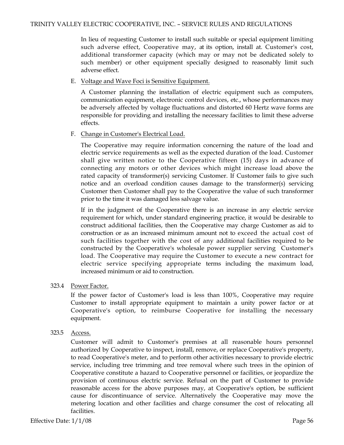In lieu of requesting Customer to install such suitable or special equipment limiting such adverse effect, Cooperative may, at its option, install at. Customer's cost, additional transformer capacity (which may or may not be dedicated solely to such member) or other equipment specially designed to reasonably limit such adverse effect.

E. Voltage and Wave Foci is Sensitive Equipment.

A Customer planning the installation of electric equipment such as computers, communication equipment, electronic control devices, etc., whose performances may be adversely affected by voltage fluctuations and distorted 60 Hertz wave forms are responsible for providing and installing the necessary facilities to limit these adverse effects.

F. Change in Customer's Electrical Load.

The Cooperative may require information concerning the nature of the load and electric service requirements as well as the expected duration of the load. Customer shall give written notice to the Cooperative fifteen (15) days in advance of connecting any motors or other devices which might increase load above the rated capacity of transformer(s) servicing Customer. If Customer fails to give such notice and an overload condition causes damage to the transformer(s) servicing Customer then Customer shall pay to the Cooperative the value of such transformer prior to the time it was damaged less salvage value.

If in the judgment of the Cooperative there is an increase in any electric service requirement for which, under standard engineering practice, it would be desirable to construct additional facilities, then the Cooperative may charge Customer as aid to construction or as an increased minimum amount not to exceed the actual cost of such facilities together with the cost of any additional facilities required to be constructed by the Cooperative's wholesale power supplier serving Customer's load. The Cooperative may require the Customer to execute a new contract for electric service specifying appropriate terms including the maximum load, increased minimum or aid to construction.

# 323.4 Power Factor.

If the power factor of Customer's load is less than 100%, Cooperative may require Customer to install appropriate equipment to maintain a unity power factor or at Cooperative's option, to reimburse Cooperative for installing the necessary equipment.

323.5 Access.

Customer will admit to Customer's premises at all reasonable hours personnel authorized by Cooperative to inspect, install, remove, or replace Cooperative's property, to read Cooperative's meter, and to perform other activities necessary to provide electric service, including tree trimming and tree removal where such trees in the opinion of Cooperative constitute a hazard to Cooperative personnel or facilities, or jeopardize the provision of continuous electric service. Refusal on the part of Customer to provide reasonable access for the above purposes may, at Cooperative's option, be sufficient cause for discontinuance of service. Alternatively the Cooperative may move the metering location and other facilities and charge consumer the cost of relocating all facilities.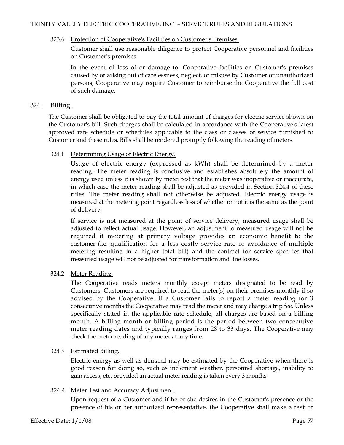### 323.6 Protection of Cooperative's Facilities on Customer's Premises.

Customer shall use reasonable diligence to protect Cooperative personnel and facilities on Customer's premises.

In the event of loss of or damage to, Cooperative facilities on Customer's premises caused by or arising out of carelessness, neglect, or misuse by Customer or unauthorized persons, Cooperative may require Customer to reimburse the Cooperative the full cost of such damage.

## 324. Billing.

The Customer shall be obligated to pay the total amount of charges for electric service shown on the Customer's bill. Such charges shall be calculated in accordance with the Cooperative's latest approved rate schedule or schedules applicable to the class or classes of service furnished to Customer and these rules. Bills shall be rendered promptly following the reading of meters.

## 324.1 Determining Usage of Electric Energy.

Usage of electric energy (expressed as kWh) shall be determined by a meter reading. The meter reading is conclusive and establishes absolutely the amount of energy used unless it is shown by meter test that the meter was inoperative or inaccurate, in which case the meter reading shall be adjusted as provided in Section 324.4 of these rules. The meter reading shall not otherwise be adjusted. Electric energy usage is measured at the metering point regardless less of whether or not it is the same as the point of delivery.

If service is not measured at the point of service delivery, measured usage shall be adjusted to reflect actual usage. However, an adjustment to measured usage will not be required if metering at primary voltage provides an economic benefit to the customer (i.e. qualification for a less costly service rate or avoidance of multiple metering resulting in a higher total bill) and the contract for service specifies that measured usage will not be adjusted for transformation and line losses.

# 324.2 Meter Reading.

The Cooperative reads meters monthly except meters designated to be read by Customers. Customers are required to read the meter(s) on their premises monthly if so advised by the Cooperative. If a Customer fails to report a meter reading for 3 consecutive months the Cooperative may read the meter and may charge a trip fee. Unless specifically stated in the applicable rate schedule, all charges are based on a billing month. A billing month or billing period is the period between two consecutive meter reading dates and typically ranges from 28 to 33 days. The Cooperative may check the meter reading of any meter at any time.

### 324.3 Estimated Billing.

Electric energy as well as demand may be estimated by the Cooperative when there is good reason for doing so, such as inclement weather, personnel shortage, inability to gain access, etc. provided an actual meter reading is taken every 3 months.

### 324.4 Meter Test and Accuracy Adjustment.

Upon request of a Customer and if he or she desires in the Customer's presence or the presence of his or her authorized representative, the Cooperative shall make a test of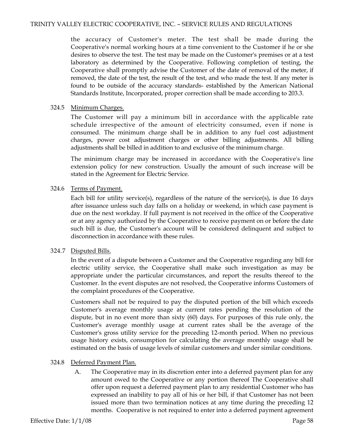the accuracy of Customer's meter. The test shall be made during the Cooperative's normal working hours at a time convenient to the Customer if he or she desires to observe the test. The test may be made on the Customer's premises or at a test laboratory as determined by the Cooperative. Following completion of testing, the Cooperative shall promptly advise the Customer of the date of removal of the meter, if removed, the date of the test, the result of the test, and who made the test. If any meter is found to be outside of the accuracy standards- established by the American National Standards Institute, Incorporated, proper correction shall be made according to 203.3.

## 324.5 Minimum Charges.

The Customer will pay a minimum bill in accordance with the applicable rate schedule irrespective of the amount of electricity consumed, even if none is consumed. The minimum charge shall be in addition to any fuel cost adjustment charges, power cost adjustment charges or other billing adjustments. All billing adjustments shall be billed in addition to and exclusive of the minimum charge.

The minimum charge may be increased in accordance with the Cooperative's line extension policy for new construction. Usually the amount of such increase will be stated in the Agreement for Electric Service.

# 324.6 Terms of Payment.

Each bill for utility service(s), regardless of the nature of the service(s), is due 16 days after issuance unless such day falls on a holiday or weekend, in which case payment is due on the next workday. If full payment is not received in the office of the Cooperative or at any agency authorized by the Cooperative to receive payment on or before the date such bill is due, the Customer's account will be considered delinquent and subject to disconnection in accordance with these rules.

# 324.7 Disputed Bills.

In the event of a dispute between a Customer and the Cooperative regarding any bill for electric utility service, the Cooperative shall make such investigation as may be appropriate under the particular circumstances, and report the results thereof to the Customer. In the event disputes are not resolved, the Cooperative informs Customers of the complaint procedures of the Cooperative.

Customers shall not be required to pay the disputed portion of the bill which exceeds Customer's average monthly usage at current rates pending the resolution of the dispute, but in no event more than sixty (60) days. For purposes of this rule only, the Customer's average monthly usage at current rates shall be the average of the Customer's gross utility service for the preceding 12-month period. When no previous usage history exists, consumption for calculating the average monthly usage shall be estimated on the basis of usage levels of similar customers and under similar conditions.

# 324.8 Deferred Payment Plan.

A. The Cooperative may in its discretion enter into a deferred payment plan for any amount owed to the Cooperative or any portion thereof The Cooperative shall offer upon request a deferred payment plan to any residential Customer who has expressed an inability to pay all of his or her bill, if that Customer has not been issued more than two termination notices at any time during the preceding 12 months. Cooperative is not required to enter into a deferred payment agreement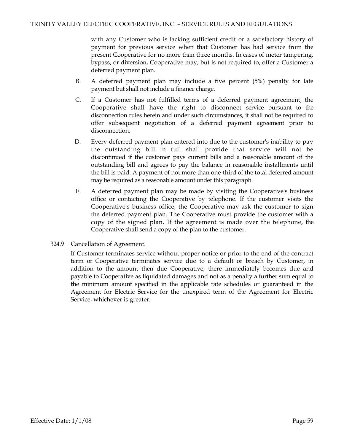with any Customer who is lacking sufficient credit or a satisfactory history of payment for previous service when that Customer has had service from the present Cooperative for no more than three months. In cases of meter tampering, bypass, or diversion, Cooperative may, but is not required to, offer a Customer a deferred payment plan.

- B. A deferred payment plan may include a five percent (5%) penalty for late payment but shall not include a finance charge.
- C. If a Customer has not fulfilled terms of a deferred payment agreement, the Cooperative shall have the right to disconnect service pursuant to the disconnection rules herein and under such circumstances, it shall not be required to offer subsequent negotiation of a deferred payment agreement prior to disconnection.
- D. Every deferred payment plan entered into due to the customer's inability to pay the outstanding bill in full shall provide that service will not be discontinued if the customer pays current bills and a reasonable amount of the outstanding bill and agrees to pay the balance in reasonable installments until the bill is paid. A payment of not more than one-third of the total deferred amount may be required as a reasonable amount under this paragraph.
- E. A deferred payment plan may be made by visiting the Cooperative's business office or contacting the Cooperative by telephone. If the customer visits the Cooperative's business office, the Cooperative may ask the customer to sign the deferred payment plan. The Cooperative must provide the customer with a copy of the signed plan. If the agreement is made over the telephone, the Cooperative shall send a copy of the plan to the customer.
- 324.9 Cancellation of Agreement.

If Customer terminates service without proper notice or prior to the end of the contract term or Cooperative terminates service due to a default or breach by Customer, in addition to the amount then due Cooperative, there immediately becomes due and payable to Cooperative as liquidated damages and not as a penalty a further sum equal to the minimum amount specified in the applicable rate schedules or guaranteed in the Agreement for Electric Service for the unexpired term of the Agreement for Electric Service, whichever is greater.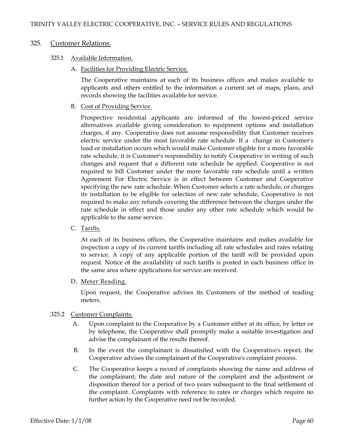## 325. Customer Relations.

## 325.1 Available Information.

A. Facilities for Providing Electric Service.

The Cooperative maintains at each of its business offices and makes available to applicants and others entitled to the information a current set of maps, plans, and records showing the facilities available for service.

B. Cost of Providing Service.

Prospective residential applicants are informed of the lowest-priced service alternatives available giving consideration to equipment options and installation charges, if any. Cooperative does not assume responsibility that Customer receives electric service under the most favorable rate schedule. If a change in Customer's load or installation occurs which would make Customer eligible for a more favorable rate schedule, it is Customer's responsibility to notify Cooperative in writing of such changes and request that a different rate schedule be applied. Cooperative is not required to bill Customer under the more favorable rate schedule until a written Agreement For Electric Service is in effect between Customer and Cooperative specifying the new rate schedule. When Customer selects a rate schedule, or changes its installation to be eligible for selection of new rate schedule, Cooperative is not required to make any refunds covering the difference between the charges under the rate schedule in effect and those under any other rate schedule which would be applicable to the same service.

C. Tariffs.

At each of its business offices, the Cooperative maintains and makes available for inspection a copy of its current tariffs including all rate schedules and rates relating to service. A copy of any applicable portion of the tariff will be provided upon request. Notice of the availability of such tariffs is posted in each business office in the same area where applications for service are received.

D. Meter Reading.

Upon request, the Cooperative advises its Customers of the method of reading meters.

- 325.2 Customer Complaints.
	- A. Upon complaint to the Cooperative by a Customer either at its office, by letter or by telephone, the Cooperative shall promptly make a suitable investigation and advise the complainant of the results thereof.
	- B. In the event the complainant is dissatisfied with the Cooperative's report, the Cooperative advises the complainant of the Cooperative's complaint process.
	- C. The Cooperative keeps a record of complaints showing the name and address of the complainant; the date and nature of the complaint and the adjustment or disposition thereof for a period of two years subsequent to the final settlement of the complaint. Complaints with reference to rates or charges which require no further action by the Cooperative need not be recorded.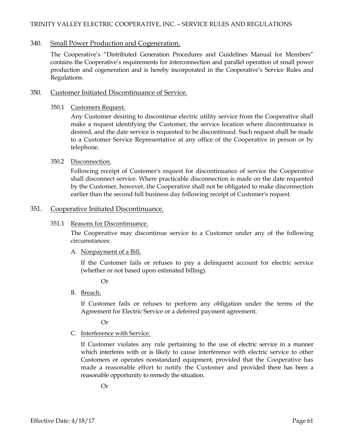# 340. Small Power Production and Cogeneration.

The Cooperative's "Distributed Generation Procedures and Guidelines Manual for Members" contains the Cooperative's requirements for interconnection and parallel operation of small power production and cogeneration and is hereby incorporated in the Cooperative's Service Rules and Regulations.

# 350. Customer Initiated Discontinuance of Service.

350.1 Customers Request.

Any Customer desiring to discontinue electric utility service from the Cooperative shall make a request identifying the Customer, the service location where discontinuance is desired, and the date service is requested to be discontinued. Such request shall be made to a Customer Service Representative at any office of the Cooperative in person or by telephone.

## 350.2 Disconnection.

Following receipt of Customer's request for discontinuance of service the Cooperative shall disconnect service. Where practicable disconnection is made on the date requested by the Customer, however, the Cooperative shall not be obligated to make disconnection earlier than the second full business day following receipt of Customer's request.

# 351. Cooperative Initiated Discontinuance.

## 351.1 Reasons for Discontinuance.

The Cooperative may discontinue service to a Customer under any of the following circumstances:

# A. Nonpayment of a Bill.

If the Customer fails or refuses to pay a delinquent account for electric service (whether or not based upon estimated billing).

Or

B. Breach.

If Customer fails or refuses to perform any obligation under the terms of the Agreement for Electric Service or a deferred payment agreement.

Or

# C. Interference with Service.

If Customer violates any rule pertaining to the use of electric service in a manner which interferes with or is likely to cause interference with electric service to other Customers or operates nonstandard equipment, provided that the Cooperative has made a reasonable effort to notify the Customer and provided there has been a reasonable opportunity to remedy the situation.

Or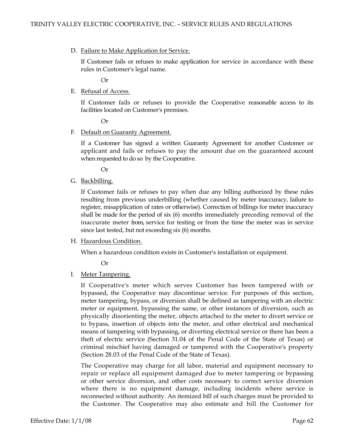D. Failure to Make Application for Service.

If Customer fails or refuses to make application for service in accordance with these rules in Customer's legal name.

Or

E. Refusal of Access.

If Customer fails or refuses to provide the Cooperative reasonable access to its facilities located on Customer's premises.

Or

F. Default on Guaranty Agreement.

If a Customer has signed a written Guaranty Agreement for another Customer or applicant and fails or refuses to pay the amount due on the guaranteed account when requested to do so by the Cooperative.

Or

G. Backbilling.

If Customer fails or refuses to pay when due any billing authorized by these rules resulting from previous underbilling (whether caused by meter inaccuracy, failure to register, misapplication of rates or otherwise). Correction of billings for meter inaccuracy shall be made for the period of six (6) months immediately preceding removal of the inaccurate meter from, service for testing or from the time the meter was in service since last tested, but not exceeding six (6) months.

H. Hazardous Condition.

When a hazardous condition exists in Customer's installation or equipment.

Or

I. Meter Tampering.

If Cooperative's meter which serves Customer has been tampered with or bypassed, the Cooperative may discontinue service. For purposes of this section, meter tampering, bypass, or diversion shall be defined as tampering with an electric meter or equipment, bypassing the same, or other instances of diversion, such as physically disorienting the meter, objects attached to the meter to divert service or to bypass, insertion of objects into the meter, and other electrical and mechanical means of tampering with bypassing, or diverting electrical service or there has been a theft of electric service (Section 31.04 of the Penal Code of the State of Texas) or criminal mischief having damaged or tampered with the Cooperative's property (Section 28.03 of the Penal Code of the State of Texas).

The Cooperative may charge for all labor, material and equipment necessary to repair or replace all equipment damaged due to meter tampering or bypassing or other service diversion, and other costs necessary to correct service diversion where there is no equipment damage, including incidents where service is reconnected without authority. An itemized bill of such charges must be provided to the Customer. The Cooperative may also estimate and bill the Customer for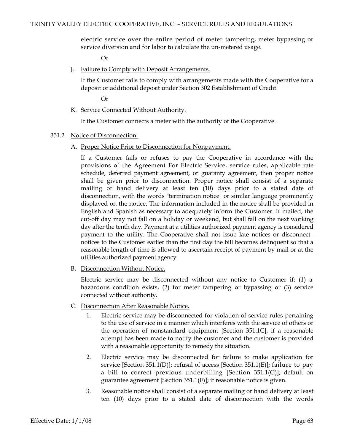electric service over the entire period of meter tampering, meter bypassing or service diversion and for labor to calculate the un-metered usage.

Or

J. Failure to Comply with Deposit Arrangements.

If the Customer fails to comply with arrangements made with the Cooperative for a deposit or additional deposit under Section 302 Establishment of Credit.

Or

K. Service Connected Without Authority.

If the Customer connects a meter with the authority of the Cooperative.

- 351.2 Notice of Disconnection.
	- A. Proper Notice Prior to Disconnection for Nonpayment.

If a Customer fails or refuses to pay the Cooperative in accordance with the provisions of the Agreement For Electric Service, service rules, applicable rate schedule, deferred payment agreement, or guaranty agreement, then proper notice shall be given prior to disconnection. Proper notice shall consist of a separate mailing or hand delivery at least ten (10) days prior to a stated date of disconnection, with the words "termination notice" or similar language prominently displayed on the notice. The information included in the notice shall be provided in English and Spanish as necessary to adequately inform the Customer. If mailed, the cut-off day may not fall on a holiday or weekend, but shall fall on the next working day after the tenth day. Payment at a utilities authorized payment agency is considered payment to the utility. The Cooperative shall not issue late notices or disconnect\_ notices to the Customer earlier than the first day the bill becomes delinquent so that a reasonable length of time is allowed to ascertain receipt of payment by mail or at the utilities authorized payment agency.

B. Disconnection Without Notice.

Electric service may be disconnected without any notice to Customer if: (1) a hazardous condition exists, (2) for meter tampering or bypassing or (3) service connected without authority.

- C. Disconnection After Reasonable Notice.
	- 1. Electric service may be disconnected for violation of service rules pertaining to the use of service in a manner which interferes with the service of others or the operation of nonstandard equipment [Section 351.1C], if a reasonable attempt has been made to notify the customer and the customer is provided with a reasonable opportunity to remedy the situation.
	- 2. Electric service may be disconnected for failure to make application for service [Section 351.1(D)]; refusal of access [Section 351.1(E)]; failure to pay a bill to correct previous underbilling [Section 351.1(G)]; default on guarantee agreement [Section 351.1(F)]; if reasonable notice is given.
	- 3. Reasonable notice shall consist of a separate mailing or hand delivery at least ten (10) days prior to a stated date of disconnection with the words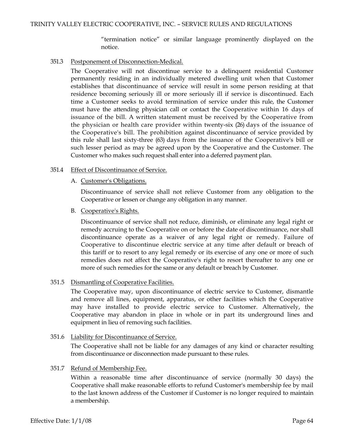"termination notice" or similar language prominently displayed on the notice.

## 351.3 Postponement of Disconnection-Medical.

The Cooperative will not discontinue service to a delinquent residential Customer permanently residing in an individually metered dwelling unit when that Customer establishes that discontinuance of service will result in some person residing at that residence becoming seriously ill or more seriously ill if service is discontinued. Each time a Customer seeks to avoid termination of service under this rule, the Customer must have the attending physician call or contact the Cooperative within 16 days of issuance of the bill. A written statement must be received by the Cooperative from the physician or health care provider within twenty-six (26) days of the issuance of the Cooperative's bill. The prohibition against discontinuance of service provided by this rule shall last sixty-three (63) days from the issuance of the Cooperative's bill or such lesser period as may be agreed upon by the Cooperative and the Customer. The Customer who makes such request shall enter into a deferred payment plan.

## 351.4 Effect of Discontinuance of Service.

A. Customer's Obligations.

Discontinuance of service shall not relieve Customer from any obligation to the Cooperative or lessen or change any obligation in any manner.

B. Cooperative's Rights.

Discontinuance of service shall not reduce, diminish, or eliminate any legal right or remedy accruing to the Cooperative on or before the date of discontinuance, nor shall discontinuance operate as a waiver of any legal right or remedy. Failure of Cooperative to discontinue electric service at any time after default or breach of this tariff or to resort to any legal remedy or its exercise of any one or more of such remedies does not affect the Cooperative's right to resort thereafter to any one or more of such remedies for the same or any default or breach by Customer.

# 351.5 Dismantling of Cooperative Facilities.

The Cooperative may, upon discontinuance of electric service to Customer, dismantle and remove all lines, equipment, apparatus, or other facilities which the Cooperative may have installed to provide electric service to Customer. Alternatively, the Cooperative may abandon in place in whole or in part its underground lines and equipment in lieu of removing such facilities.

### 351.6 Liability for Discontinuance of Service.

The Cooperative shall not be liable for any damages of any kind or character resulting from discontinuance or disconnection made pursuant to these rules.

### 351.7 Refund of Membership Fee.

Within a reasonable time after discontinuance of service (normally 30 days) the Cooperative shall make reasonable efforts to refund Customer's membership fee by mail to the last known address of the Customer if Customer is no longer required to maintain a membership.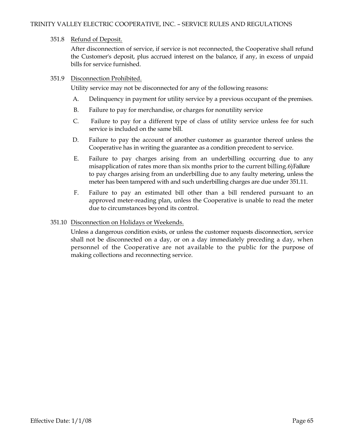## 351.8 Refund of Deposit.

After disconnection of service, if service is not reconnected, the Cooperative shall refund the Customer's deposit, plus accrued interest on the balance, if any, in excess of unpaid bills for service furnished.

## 351.9 Disconnection Prohibited.

Utility service may not be disconnected for any of the following reasons:

- A. Delinquency in payment for utility service by a previous occupant of the premises.
- B. Failure to pay for merchandise, or charges for nonutility service
- C. Failure to pay for a different type of class of utility service unless fee for such service is included on the same bill.
- D. Failure to pay the account of another customer as guarantor thereof unless the Cooperative has in writing the guarantee as a condition precedent to service.
- E. Failure to pay charges arising from an underbilling occurring due to any misapplication of rates more than six months prior to the current billing.6)Failure to pay charges arising from an underbilling due to any faulty metering, unless the meter has been tampered with and such underbilling charges are due under 351.11.
- F. Failure to pay an estimated bill other than a bill rendered pursuant to an approved meter-reading plan, unless the Cooperative is unable to read the meter due to circumstances beyond its control.

## 351.10 Disconnection on Holidays or Weekends.

Unless a dangerous condition exists, or unless the customer requests disconnection, service shall not be disconnected on a day, or on a day immediately preceding a day, when personnel of the Cooperative are not available to the public for the purpose of making collections and reconnecting service.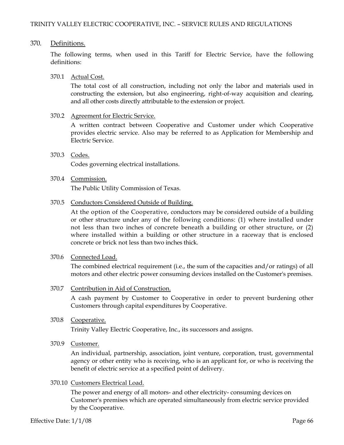## 370. Definitions.

The following terms, when used in this Tariff for Electric Service, have the following definitions:

## 370.1 Actual Cost.

The total cost of all construction, including not only the labor and materials used in constructing the extension, but also engineering, right-of-way acquisition and clearing, and all other costs directly attributable to the extension or project.

## 370.2 Agreement for Electric Service.

A written contract between Cooperative and Customer under which Cooperative provides electric service. Also may be referred to as Application for Membership and Electric Service.

370.3 Codes. Codes governing electrical installations.

# 370.4 Commission.

The Public Utility Commission of Texas.

## 370.5 Conductors Considered Outside of Building.

At the option of the Cooperative, conductors may be considered outside of a building or other structure under any of the following conditions: (1) where installed under not less than two inches of concrete beneath a building or other structure, or (2) where installed within a building or other structure in a raceway that is enclosed concrete or brick not less than two inches thick.

### 370.6 Connected Load.

The combined electrical requirement (i.e., the sum of the capacities and/or ratings) of all motors and other electric power consuming devices installed on the Customer's premises.

## 370.7 Contribution in Aid of Construction.

A cash payment by Customer to Cooperative in order to prevent burdening other Customers through capital expenditures by Cooperative.

370.8 Cooperative.

Trinity Valley Electric Cooperative, Inc., its successors and assigns.

370.9 Customer.

An individual, partnership, association, joint venture, corporation, trust, governmental agency or other entity who is receiving, who is an applicant for, or who is receiving the benefit of electric service at a specified point of delivery.

### 370.10 Customers Electrical Load.

The power and energy of all motors- and other electricity- consuming devices on Customer's premises which are operated simultaneously from electric service provided by the Cooperative.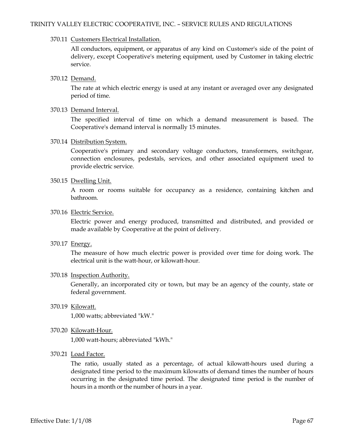### 370.11 Customers Electrical Installation.

All conductors, equipment, or apparatus of any kind on Customer's side of the point of delivery, except Cooperative's metering equipment, used by Customer in taking electric service.

### 370.12 Demand.

The rate at which electric energy is used at any instant or averaged over any designated period of time.

#### 370.13 Demand Interval.

The specified interval of time on which a demand measurement is based. The Cooperative's demand interval is normally 15 minutes.

### 370.14 Distribution System.

Cooperative's primary and secondary voltage conductors, transformers, switchgear, connection enclosures, pedestals, services, and other associated equipment used to provide electric service.

### 350.15 Dwelling Unit.

A room or rooms suitable for occupancy as a residence, containing kitchen and bathroom.

#### 370.16 Electric Service.

Electric power and energy produced, transmitted and distributed, and provided or made available by Cooperative at the point of delivery.

### 370.17 Energy.

The measure of how much electric power is provided over time for doing work. The electrical unit is the watt-hour, or kilowatt-hour.

### 370.18 Inspection Authority.

Generally, an incorporated city or town, but may be an agency of the county, state or federal government.

370.19 Kilowatt.

1,000 watts; abbreviated "kW."

370.20 Kilowatt-Hour.

1,000 watt-hours; abbreviated "kWh."

370.21 Load Factor.

The ratio, usually stated as a percentage, of actual kilowatt-hours used during a designated time period to the maximum kilowatts of demand times the number of hours occurring in the designated time period. The designated time period is the number of hours in a month or the number of hours in a year.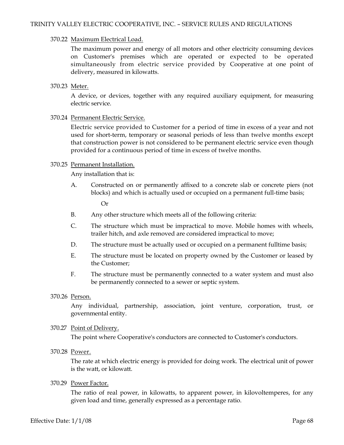## 370.22 Maximum Electrical Load.

The maximum power and energy of all motors and other electricity consuming devices on Customer's premises which are operated or expected to be operated simultaneously from electric service provided by Cooperative at one point of delivery, measured in kilowatts.

# 370.23 Meter.

A device, or devices, together with any required auxiliary equipment, for measuring electric service.

## 370.24 Permanent Electric Service.

Electric service provided to Customer for a period of time in excess of a year and not used for short-term, temporary or seasonal periods of less than twelve months except that construction power is not considered to be permanent electric service even though provided for a continuous period of time in excess of twelve months.

### 370.25 Permanent Installation.

Any installation that is:

A. Constructed on or permanently affixed to a concrete slab or concrete piers (not blocks) and which is actually used or occupied on a permanent full-time basis;

Or

- B. Any other structure which meets all of the following criteria:
- C. The structure which must be impractical to move. Mobile homes with wheels, trailer hitch, and axle removed are considered impractical to move;
- D. The structure must be actually used or occupied on a permanent fulltime basis;
- E. The structure must be located on property owned by the Customer or leased by the Customer;
- F. The structure must be permanently connected to a water system and must also be permanently connected to a sewer or septic system.
- 370.26 Person.

Any individual, partnership, association, joint venture, corporation, trust, or governmental entity.

### 370.27 Point of Delivery.

The point where Cooperative's conductors are connected to Customer's conductors.

370.28 Power.

The rate at which electric energy is provided for doing work. The electrical unit of power is the watt, or kilowatt.

## 370.29 Power Factor.

The ratio of real power, in kilowatts, to apparent power, in kilovoltemperes, for any given load and time, generally expressed as a percentage ratio.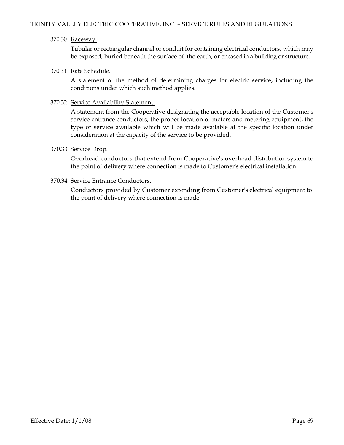## 370.30 Raceway.

Tubular or rectangular channel or conduit for containing electrical conductors, which may be exposed, buried beneath the surface of 'the earth, or encased in a building or structure.

## 370.31 Rate Schedule.

A statement of the method of determining charges for electric service, including the conditions under which such method applies.

## 370.32 Service Availability Statement.

A statement from the Cooperative designating the acceptable location of the Customer's service entrance conductors, the proper location of meters and metering equipment, the type of service available which will be made available at the specific location under consideration at the capacity of the service to be provided.

## 370.33 Service Drop.

Overhead conductors that extend from Cooperative's overhead distribution system to the point of delivery where connection is made to Customer's electrical installation.

## 370.34 Service Entrance Conductors.

Conductors provided by Customer extending from Customer's electrical equipment to the point of delivery where connection is made.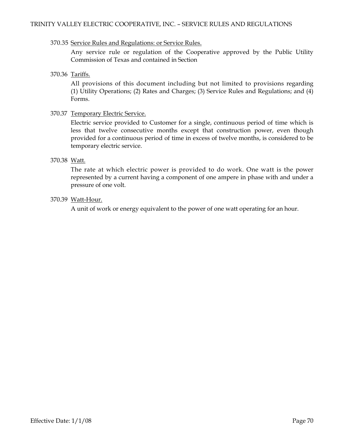### 370.35 Service Rules and Regulations: or Service Rules.

Any service rule or regulation of the Cooperative approved by the Public Utility Commission of Texas and contained in Section

370.36 Tariffs.

All provisions of this document including but not limited to provisions regarding (1) Utility Operations; (2) Rates and Charges; (3) Service Rules and Regulations; and (4) Forms.

## 370.37 Temporary Electric Service.

Electric service provided to Customer for a single, continuous period of time which is less that twelve consecutive months except that construction power, even though provided for a continuous period of time in excess of twelve months, is considered to be temporary electric service.

## 370.38 Watt.

The rate at which electric power is provided to do work. One watt is the power represented by a current having a component of one ampere in phase with and under a pressure of one volt.

## 370.39 Watt-Hour.

A unit of work or energy equivalent to the power of one watt operating for an hour.